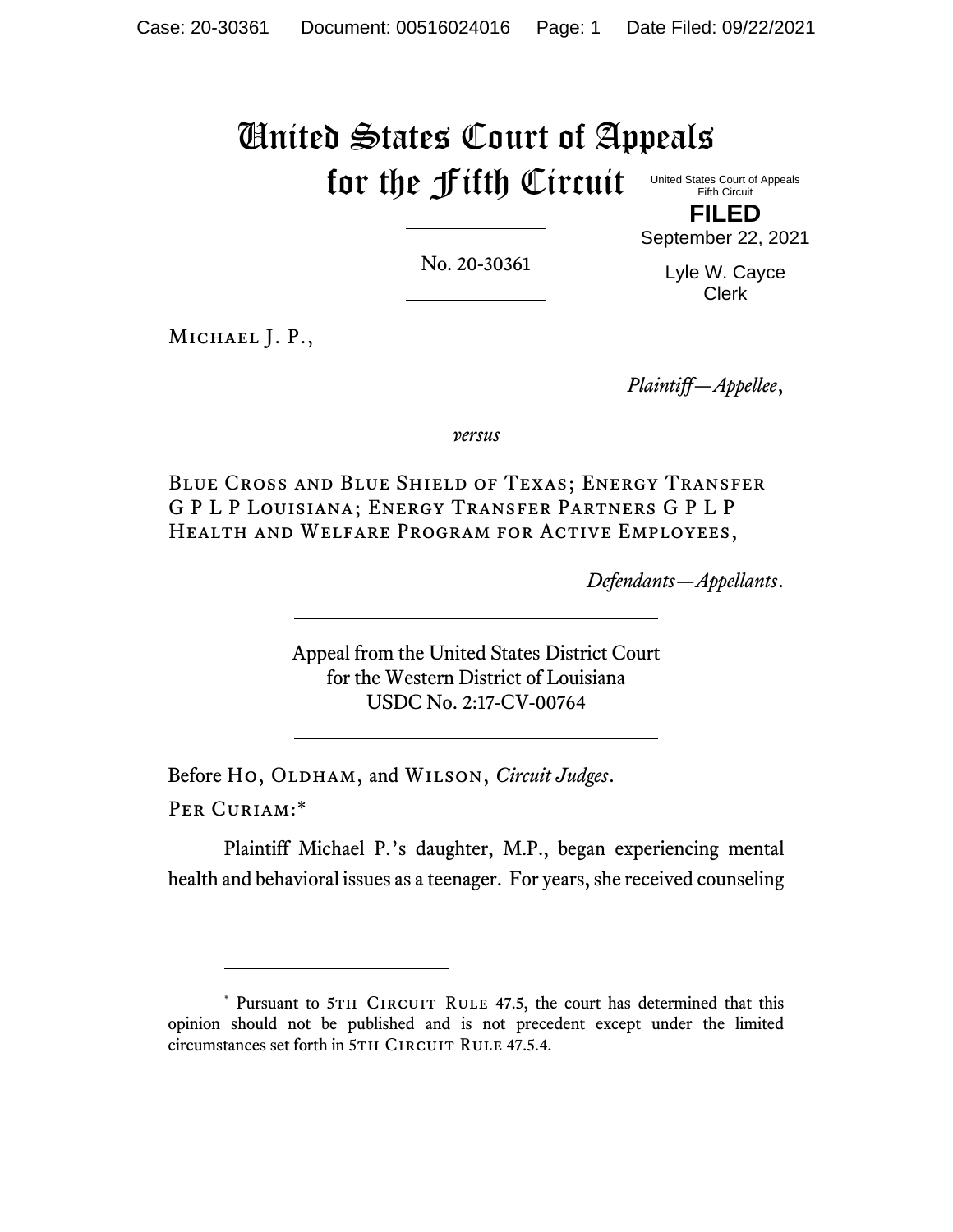# United States Court of Appeals for the Fifth Circuit

United States Court of Appeals Fifth Circuit **FILED**

No. 20-30361

September 22, 2021 Lyle W. Cayce

Clerk

MICHAEL J. P.,

*Plaintiff—Appellee*,

*versus*

Blue Cross and Blue Shield of Texas; Energy Transfer G P L P Louisiana; Energy Transfer Partners G P L P Health and Welfare Program for Active Employees,

*Defendants—Appellants*.

Appeal from the United States District Court for the Western District of Louisiana USDC No. 2:17-CV-00764

Before Ho, OLDHAM, and WILSON, *Circuit Judges*.

Per Curiam:\*

Plaintiff Michael P.'s daughter, M.P., began experiencing mental health and behavioral issues as a teenager. For years, she received counseling

<sup>\*</sup> Pursuant to 5TH CIRCUIT RULE 47.5, the court has determined that this opinion should not be published and is not precedent except under the limited circumstances set forth in 5TH CIRCUIT RULE 47.5.4.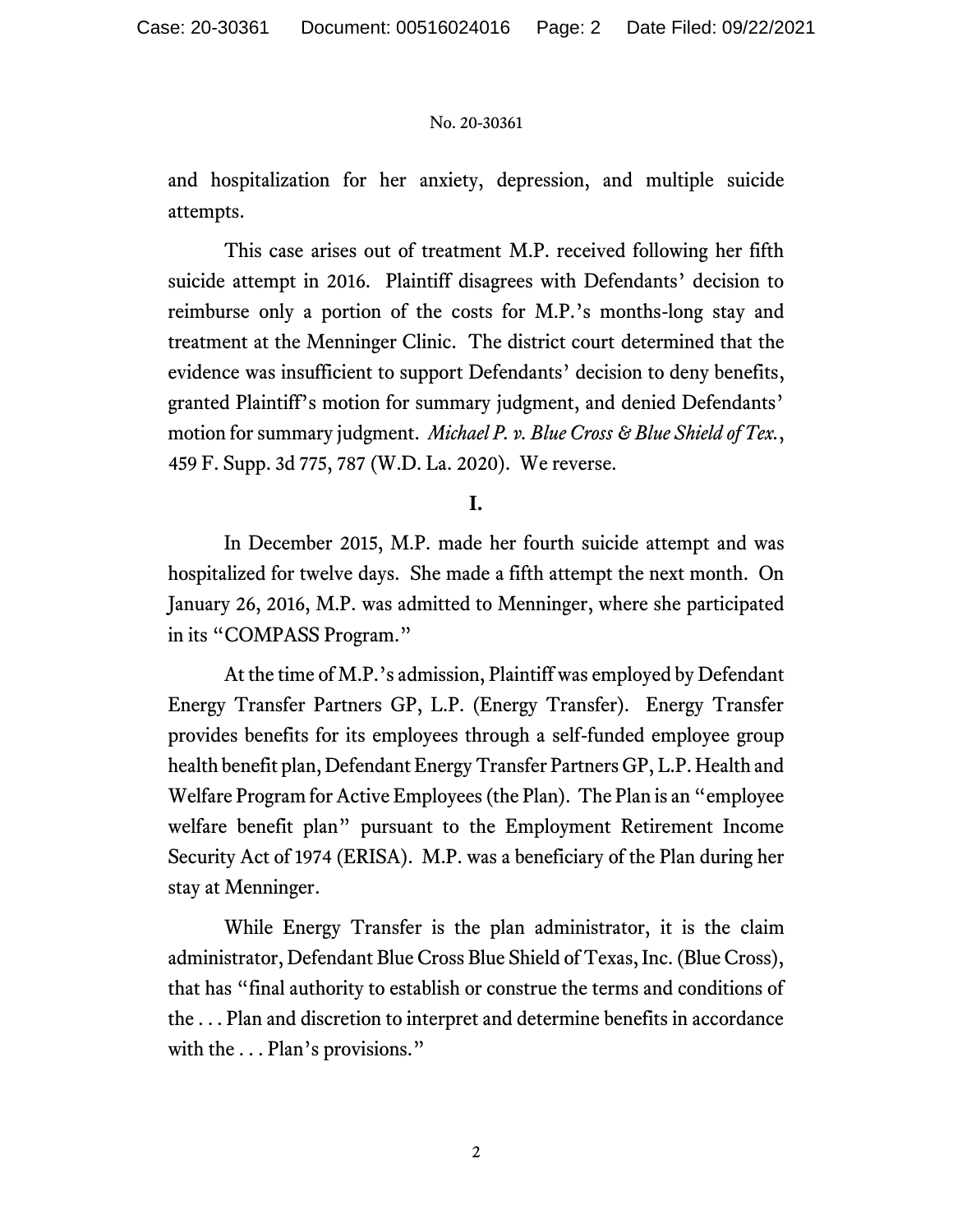and hospitalization for her anxiety, depression, and multiple suicide attempts.

This case arises out of treatment M.P. received following her fifth suicide attempt in 2016. Plaintiff disagrees with Defendants' decision to reimburse only a portion of the costs for M.P.'s months-long stay and treatment at the Menninger Clinic. The district court determined that the evidence was insufficient to support Defendants' decision to deny benefits, granted Plaintiff's motion for summary judgment, and denied Defendants' motion for summary judgment. *Michael P. v. Blue Cross & Blue Shield of Tex.*, 459 F. Supp. 3d 775, 787 (W.D. La. 2020). We reverse.

# **I.**

In December 2015, M.P. made her fourth suicide attempt and was hospitalized for twelve days. She made a fifth attempt the next month. On January 26, 2016, M.P. was admitted to Menninger, where she participated in its "COMPASS Program."

At the time of M.P.'s admission, Plaintiff was employed by Defendant Energy Transfer Partners GP, L.P. (Energy Transfer). Energy Transfer provides benefits for its employees through a self-funded employee group health benefit plan, Defendant Energy Transfer Partners GP, L.P. Health and Welfare Program for Active Employees (the Plan). The Plan is an "employee welfare benefit plan" pursuant to the Employment Retirement Income Security Act of 1974 (ERISA). M.P. was a beneficiary of the Plan during her stay at Menninger.

While Energy Transfer is the plan administrator, it is the claim administrator, Defendant Blue Cross Blue Shield of Texas, Inc. (Blue Cross), that has "final authority to establish or construe the terms and conditions of the . . . Plan and discretion to interpret and determine benefits in accordance with the ... Plan's provisions."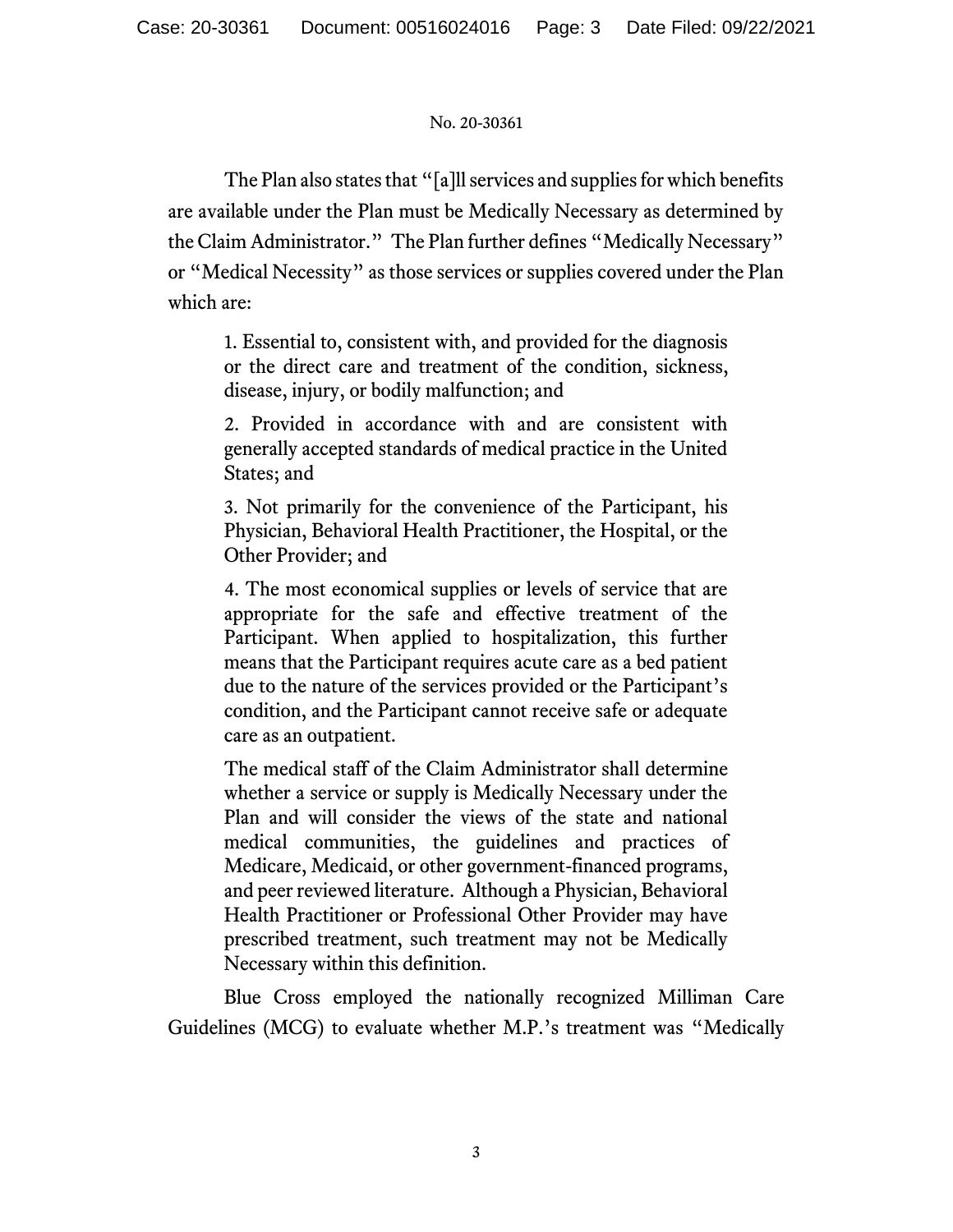The Plan also states that "[a]ll services and supplies for which benefits are available under the Plan must be Medically Necessary as determined by the Claim Administrator." The Plan further defines "Medically Necessary" or "Medical Necessity" as those services or supplies covered under the Plan which are:

1. Essential to, consistent with, and provided for the diagnosis or the direct care and treatment of the condition, sickness, disease, injury, or bodily malfunction; and

2. Provided in accordance with and are consistent with generally accepted standards of medical practice in the United States; and

3. Not primarily for the convenience of the Participant, his Physician, Behavioral Health Practitioner, the Hospital, or the Other Provider; and

4. The most economical supplies or levels of service that are appropriate for the safe and effective treatment of the Participant. When applied to hospitalization, this further means that the Participant requires acute care as a bed patient due to the nature of the services provided or the Participant's condition, and the Participant cannot receive safe or adequate care as an outpatient.

The medical staff of the Claim Administrator shall determine whether a service or supply is Medically Necessary under the Plan and will consider the views of the state and national medical communities, the guidelines and practices of Medicare, Medicaid, or other government-financed programs, and peer reviewed literature. Although a Physician, Behavioral Health Practitioner or Professional Other Provider may have prescribed treatment, such treatment may not be Medically Necessary within this definition.

Blue Cross employed the nationally recognized Milliman Care Guidelines (MCG) to evaluate whether M.P.'s treatment was "Medically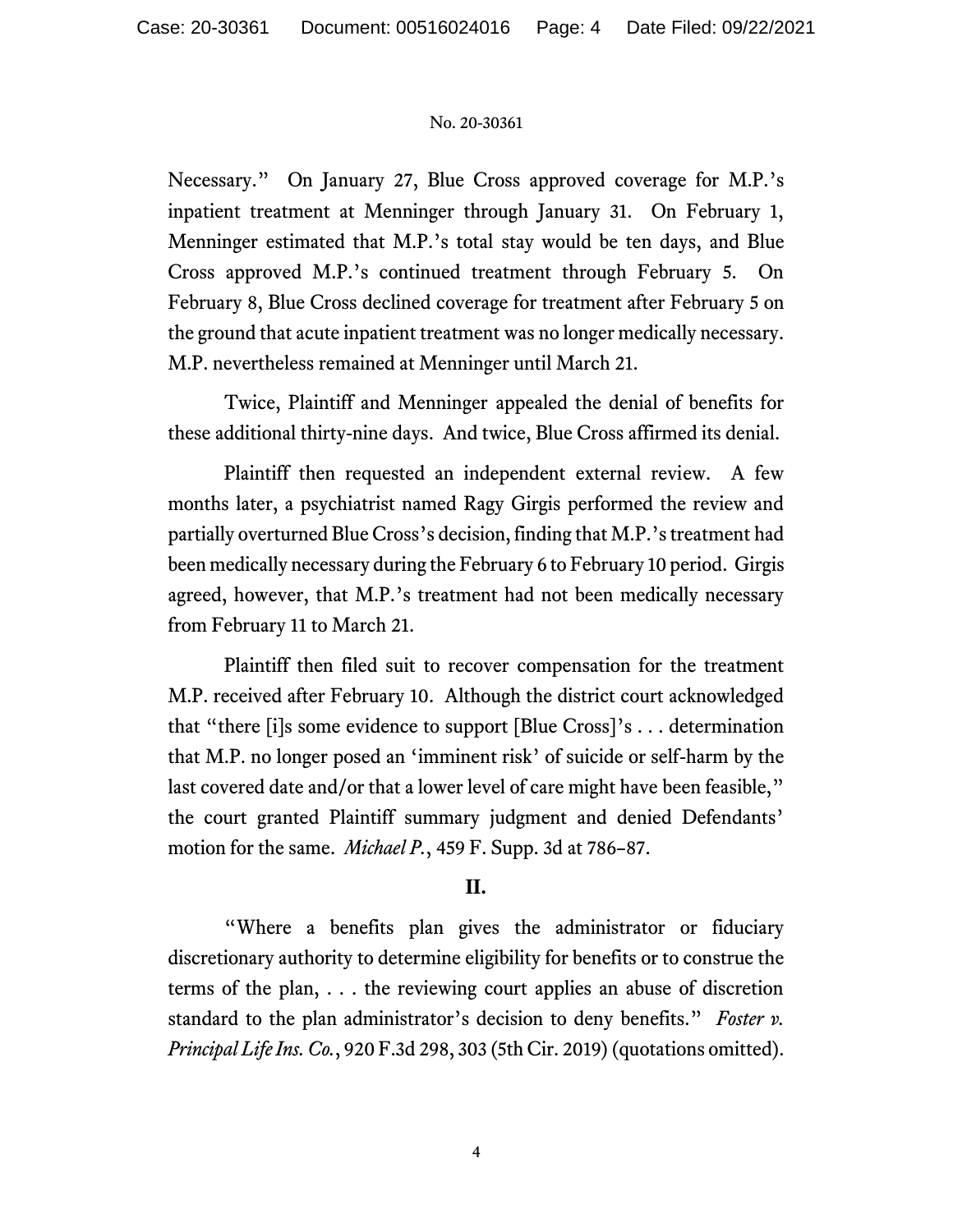Necessary." On January 27, Blue Cross approved coverage for M.P.'s inpatient treatment at Menninger through January 31. On February 1, Menninger estimated that M.P.'s total stay would be ten days, and Blue Cross approved M.P.'s continued treatment through February 5. On February 8, Blue Cross declined coverage for treatment after February 5 on the ground that acute inpatient treatment was no longer medically necessary. M.P. nevertheless remained at Menninger until March 21.

Twice, Plaintiff and Menninger appealed the denial of benefits for these additional thirty-nine days. And twice, Blue Cross affirmed its denial.

Plaintiff then requested an independent external review. A few months later, a psychiatrist named Ragy Girgis performed the review and partially overturned Blue Cross's decision, finding that M.P.'s treatment had been medically necessary during the February 6 to February 10 period. Girgis agreed, however, that M.P.'s treatment had not been medically necessary from February 11 to March 21.

Plaintiff then filed suit to recover compensation for the treatment M.P. received after February 10. Although the district court acknowledged that "there [i]s some evidence to support [Blue Cross]'s . . . determination that M.P. no longer posed an 'imminent risk' of suicide or self-harm by the last covered date and/or that a lower level of care might have been feasible," the court granted Plaintiff summary judgment and denied Defendants' motion for the same. *Michael P.*, 459 F. Supp. 3d at 786–87.

# **II.**

"Where a benefits plan gives the administrator or fiduciary discretionary authority to determine eligibility for benefits or to construe the terms of the plan, . . . the reviewing court applies an abuse of discretion standard to the plan administrator's decision to deny benefits." *Foster v. Principal Life Ins. Co.*, 920 F.3d 298, 303 (5th Cir. 2019) (quotations omitted).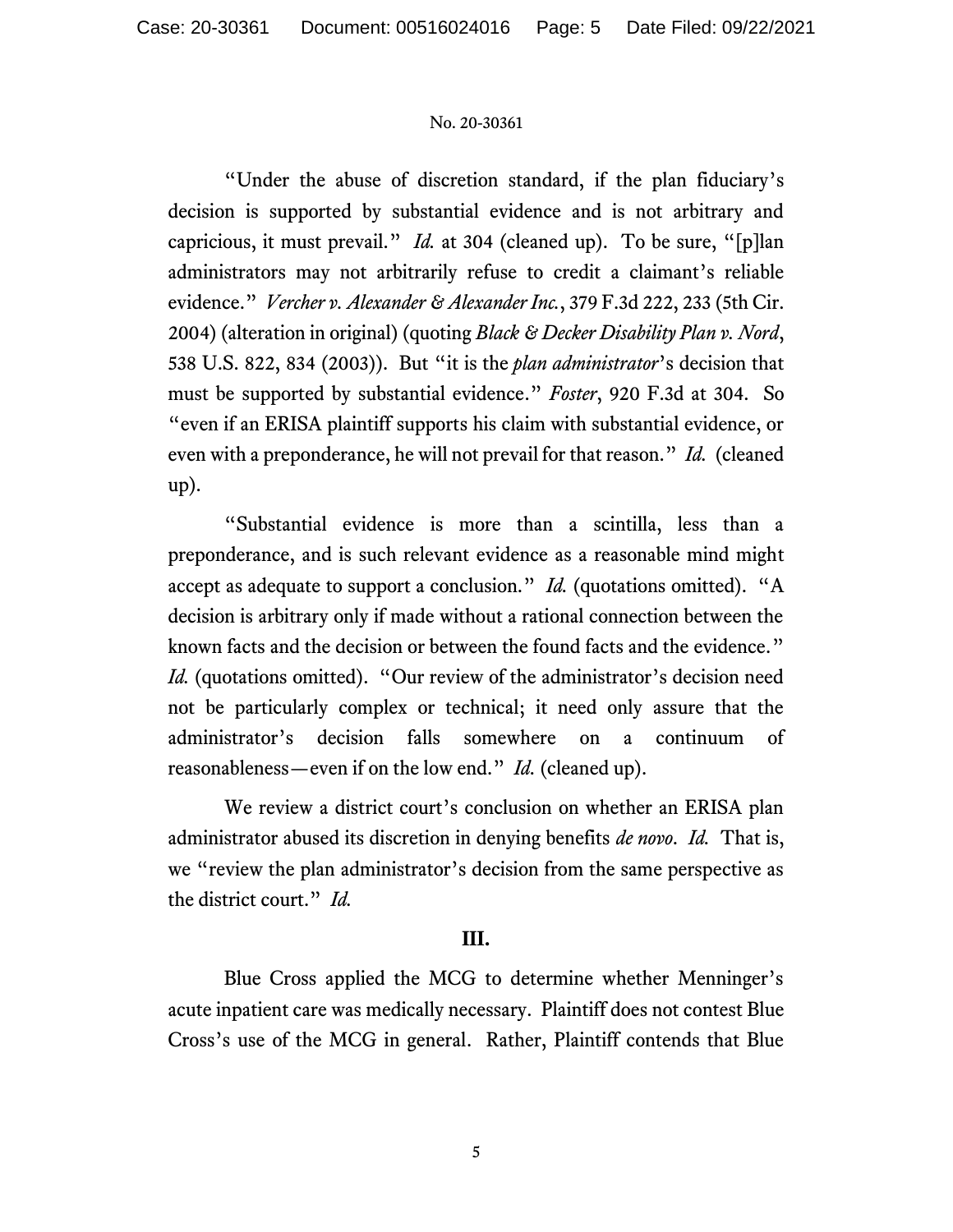"Under the abuse of discretion standard, if the plan fiduciary's decision is supported by substantial evidence and is not arbitrary and capricious, it must prevail." *Id.* at 304 (cleaned up). To be sure, "[p]lan administrators may not arbitrarily refuse to credit a claimant's reliable evidence." *Vercher v. Alexander & Alexander Inc.*, 379 F.3d 222, 233 (5th Cir. 2004) (alteration in original) (quoting *Black & Decker Disability Plan v. Nord*, 538 U.S. 822, 834 (2003)). But "it is the *plan administrator*'s decision that must be supported by substantial evidence." *Foster*, 920 F.3d at 304. So "even if an ERISA plaintiff supports his claim with substantial evidence, or even with a preponderance, he will not prevail for that reason." *Id.* (cleaned up).

"Substantial evidence is more than a scintilla, less than a preponderance, and is such relevant evidence as a reasonable mind might accept as adequate to support a conclusion." *Id.* (quotations omitted). "A decision is arbitrary only if made without a rational connection between the known facts and the decision or between the found facts and the evidence." *Id.* (quotations omitted). "Our review of the administrator's decision need not be particularly complex or technical; it need only assure that the administrator's decision falls somewhere on a continuum of reasonableness—even if on the low end." *Id.* (cleaned up).

We review a district court's conclusion on whether an ERISA plan administrator abused its discretion in denying benefits *de novo*. *Id.* That is, we "review the plan administrator's decision from the same perspective as the district court." *Id.*

# **III.**

Blue Cross applied the MCG to determine whether Menninger's acute inpatient care was medically necessary. Plaintiff does not contest Blue Cross's use of the MCG in general. Rather, Plaintiff contends that Blue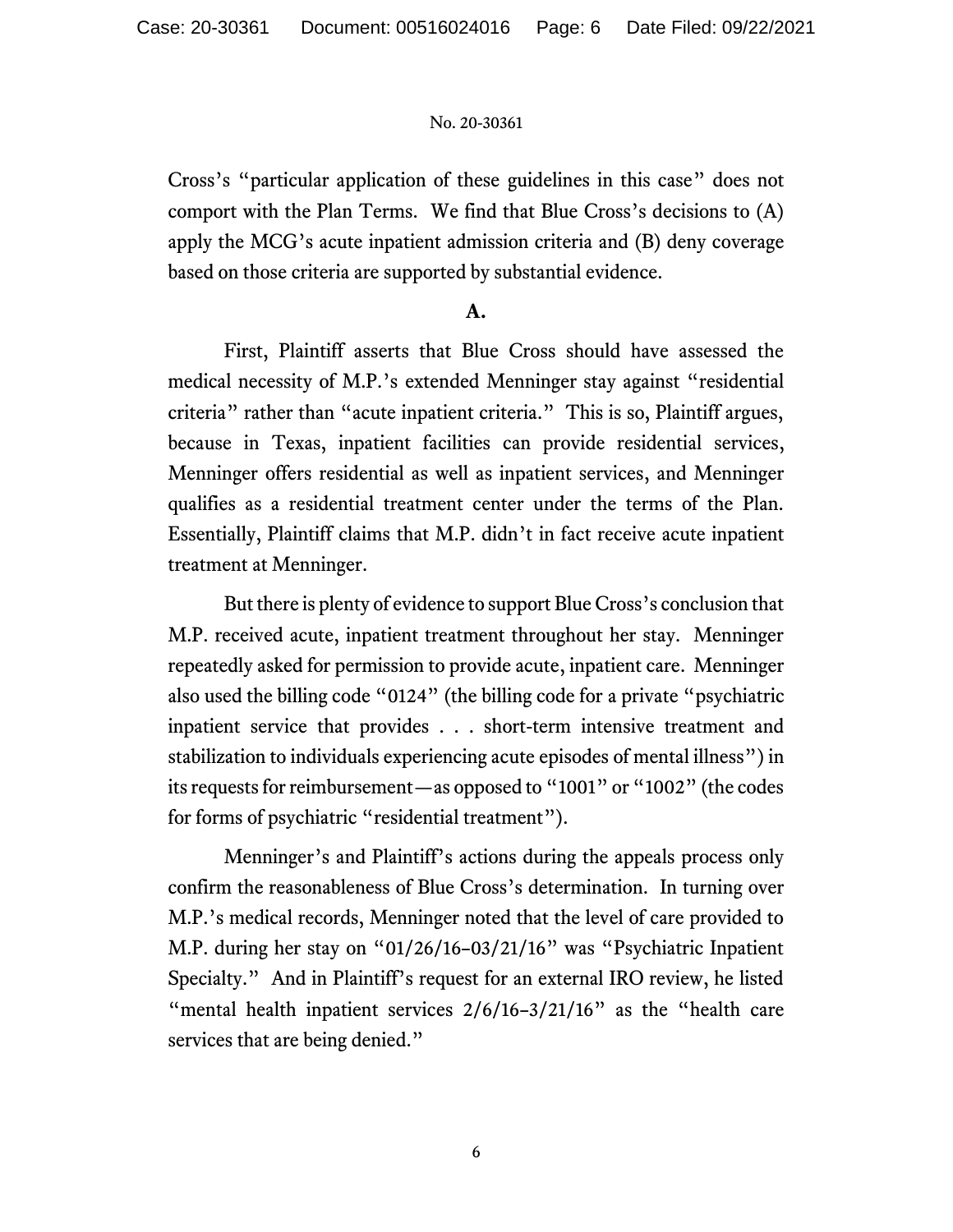Cross's "particular application of these guidelines in this case" does not comport with the Plan Terms. We find that Blue Cross's decisions to (A) apply the MCG's acute inpatient admission criteria and (B) deny coverage based on those criteria are supported by substantial evidence.

# **A.**

First, Plaintiff asserts that Blue Cross should have assessed the medical necessity of M.P.'s extended Menninger stay against "residential criteria" rather than "acute inpatient criteria." This is so, Plaintiff argues, because in Texas, inpatient facilities can provide residential services, Menninger offers residential as well as inpatient services, and Menninger qualifies as a residential treatment center under the terms of the Plan. Essentially, Plaintiff claims that M.P. didn't in fact receive acute inpatient treatment at Menninger.

But there is plenty of evidence to support Blue Cross's conclusion that M.P. received acute, inpatient treatment throughout her stay. Menninger repeatedly asked for permission to provide acute, inpatient care.Menninger also used the billing code "0124" (the billing code for a private "psychiatric inpatient service that provides . . . short-term intensive treatment and stabilization to individuals experiencing acute episodes of mental illness") in its requests for reimbursement—as opposed to "1001" or "1002" (the codes for forms of psychiatric "residential treatment").

Menninger's and Plaintiff's actions during the appeals process only confirm the reasonableness of Blue Cross's determination. In turning over M.P.'s medical records, Menninger noted that the level of care provided to M.P. during her stay on "01/26/16–03/21/16" was "Psychiatric Inpatient Specialty." And in Plaintiff's request for an external IRO review, he listed "mental health inpatient services  $2/6/16-3/21/16$ " as the "health care services that are being denied."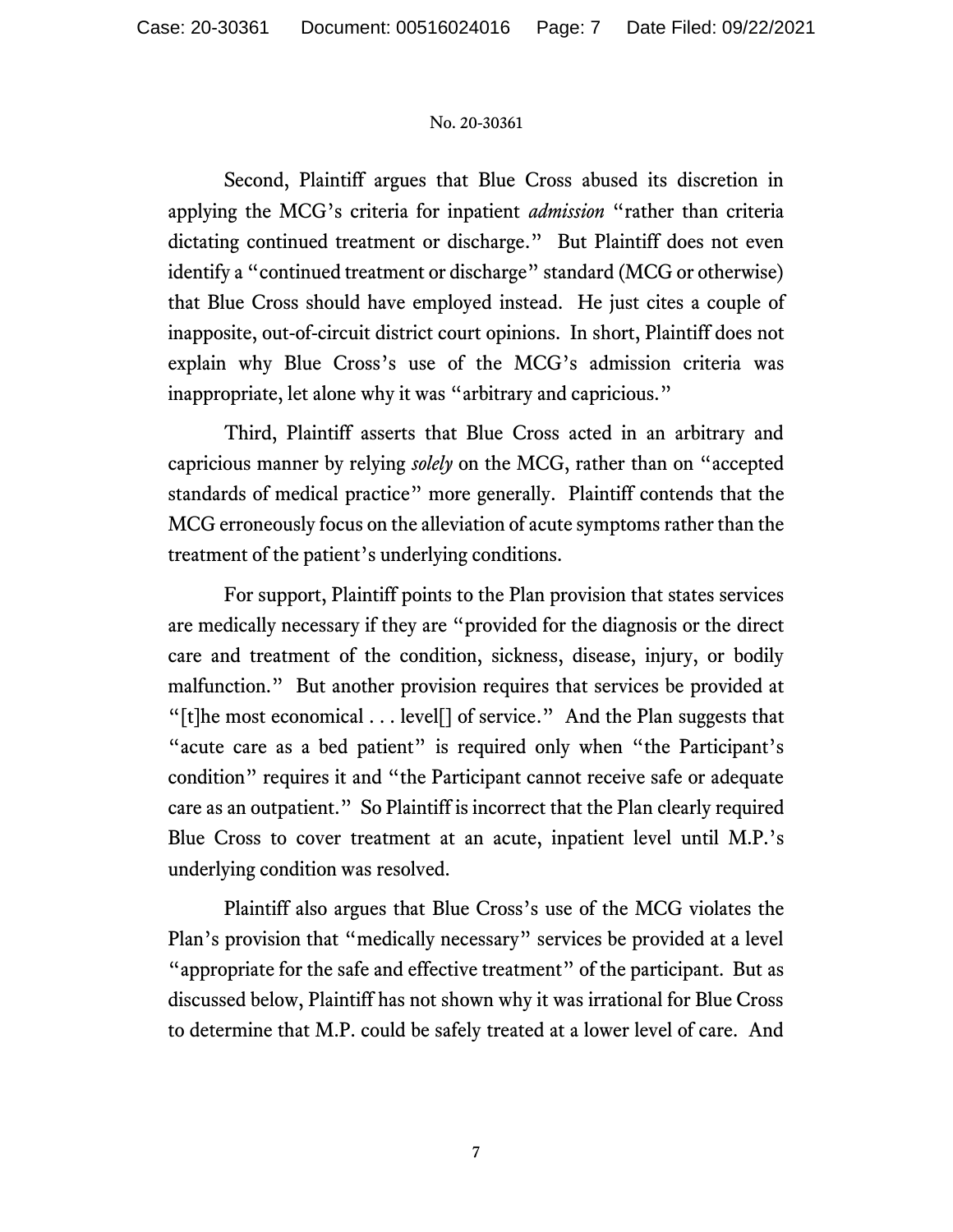Second, Plaintiff argues that Blue Cross abused its discretion in applying the MCG's criteria for inpatient *admission* "rather than criteria dictating continued treatment or discharge." But Plaintiff does not even identify a "continued treatment or discharge" standard (MCG or otherwise) that Blue Cross should have employed instead. He just cites a couple of inapposite, out-of-circuit district court opinions. In short, Plaintiff does not explain why Blue Cross's use of the MCG's admission criteria was inappropriate, let alone why it was "arbitrary and capricious."

Third, Plaintiff asserts that Blue Cross acted in an arbitrary and capricious manner by relying *solely* on the MCG, rather than on "accepted standards of medical practice" more generally. Plaintiff contends that the MCG erroneously focus on the alleviation of acute symptoms rather than the treatment of the patient's underlying conditions.

For support, Plaintiff points to the Plan provision that states services are medically necessary if they are "provided for the diagnosis or the direct care and treatment of the condition, sickness, disease, injury, or bodily malfunction." But another provision requires that services be provided at "[t]he most economical  $\dots$  level[] of service." And the Plan suggests that "acute care as a bed patient" is required only when "the Participant's condition" requires it and "the Participant cannot receive safe or adequate care as an outpatient." So Plaintiff is incorrect that the Plan clearly required Blue Cross to cover treatment at an acute, inpatient level until M.P.'s underlying condition was resolved.

Plaintiff also argues that Blue Cross's use of the MCG violates the Plan's provision that "medically necessary" services be provided at a level "appropriate for the safe and effective treatment" of the participant. But as discussed below, Plaintiff has not shown why it was irrational for Blue Cross to determine that M.P. could be safely treated at a lower level of care. And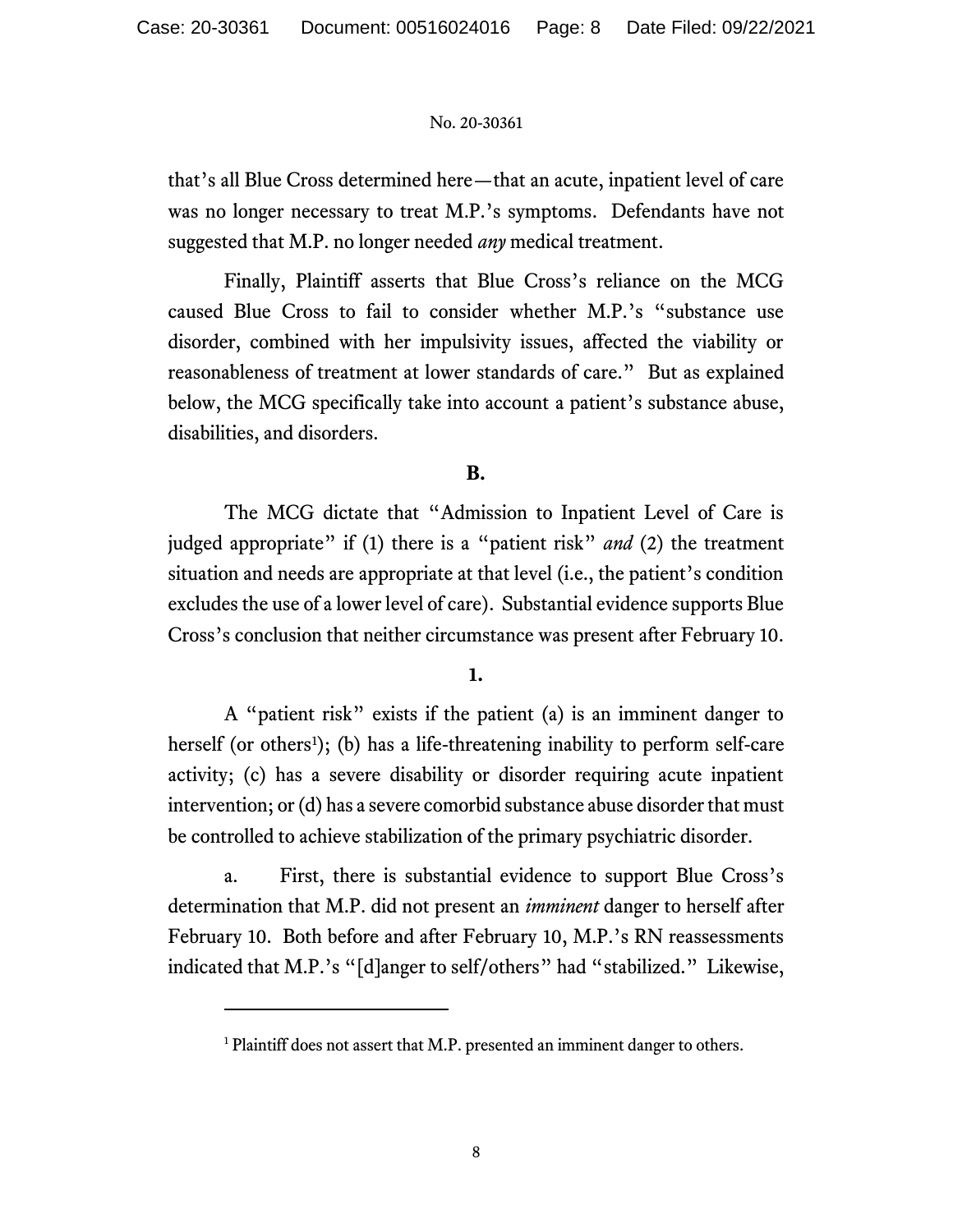that's all Blue Cross determined here—that an acute, inpatient level of care was no longer necessary to treat M.P.'s symptoms. Defendants have not suggested that M.P. no longer needed *any* medical treatment.

Finally, Plaintiff asserts that Blue Cross's reliance on the MCG caused Blue Cross to fail to consider whether M.P.'s "substance use disorder, combined with her impulsivity issues, affected the viability or reasonableness of treatment at lower standards of care." But as explained below, the MCG specifically take into account a patient's substance abuse, disabilities, and disorders.

# **B.**

The MCG dictate that "Admission to Inpatient Level of Care is judged appropriate" if (1) there is a "patient risk" *and* (2) the treatment situation and needs are appropriate at that level (i.e., the patient's condition excludes the use of a lower level of care). Substantial evidence supports Blue Cross's conclusion that neither circumstance was present after February 10.

# **1.**

A "patient risk" exists if the patient (a) is an imminent danger to herself (or others<sup>1</sup>); (b) has a life-threatening inability to perform self-care activity; (c) has a severe disability or disorder requiring acute inpatient intervention; or (d) has a severe comorbid substance abuse disorder that must be controlled to achieve stabilization of the primary psychiatric disorder.

a. First, there is substantial evidence to support Blue Cross's determination that M.P. did not present an *imminent* danger to herself after February 10. Both before and after February 10, M.P.'s RN reassessments indicated that M.P.'s "[d]anger to self/others" had "stabilized." Likewise,

<sup>&</sup>lt;sup>1</sup> Plaintiff does not assert that M.P. presented an imminent danger to others.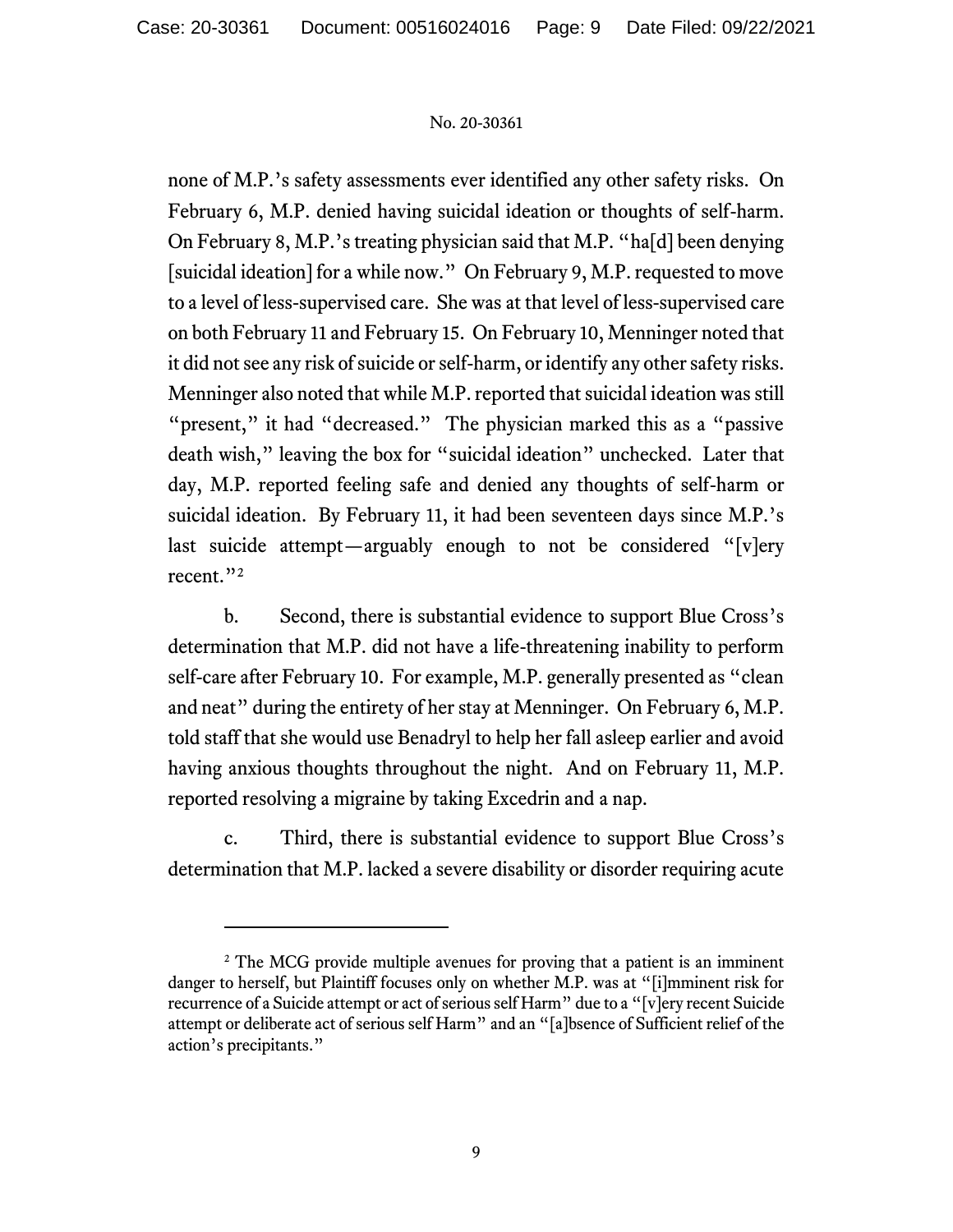none of M.P.'s safety assessments ever identified any other safety risks. On February 6, M.P. denied having suicidal ideation or thoughts of self-harm. On February 8, M.P.'s treating physician said that M.P. "ha[d] been denying [suicidal ideation] for a while now." On February 9, M.P. requested to move to a level of less-supervised care. She was at that level of less-supervised care on both February 11 and February 15. On February 10, Menninger noted that it did not see any risk of suicide or self-harm, or identify any other safety risks. Menninger also noted that while M.P. reported that suicidal ideation was still "present," it had "decreased." The physician marked this as a "passive" death wish," leaving the box for "suicidal ideation" unchecked. Later that day, M.P. reported feeling safe and denied any thoughts of self-harm or suicidal ideation. By February 11, it had been seventeen days since M.P.'s last suicide attempt—arguably enough to not be considered "[v]ery recent."<sup>2</sup>

b. Second, there is substantial evidence to support Blue Cross's determination that M.P. did not have a life-threatening inability to perform self-care after February 10. For example, M.P. generally presented as "clean and neat" during the entirety of her stay at Menninger. On February 6, M.P. told staff that she would use Benadryl to help her fall asleep earlier and avoid having anxious thoughts throughout the night. And on February 11, M.P. reported resolving a migraine by taking Excedrin and a nap.

c. Third, there is substantial evidence to support Blue Cross's determination that M.P. lacked a severe disability or disorder requiring acute

<sup>&</sup>lt;sup>2</sup> The MCG provide multiple avenues for proving that a patient is an imminent danger to herself, but Plaintiff focuses only on whether M.P. was at "[i]mminent risk for recurrence of a Suicide attempt or act of serious self Harm" due to a "[v]ery recent Suicide attempt or deliberate act of serious self Harm" and an "[a]bsence of Sufficient relief of the action's precipitants."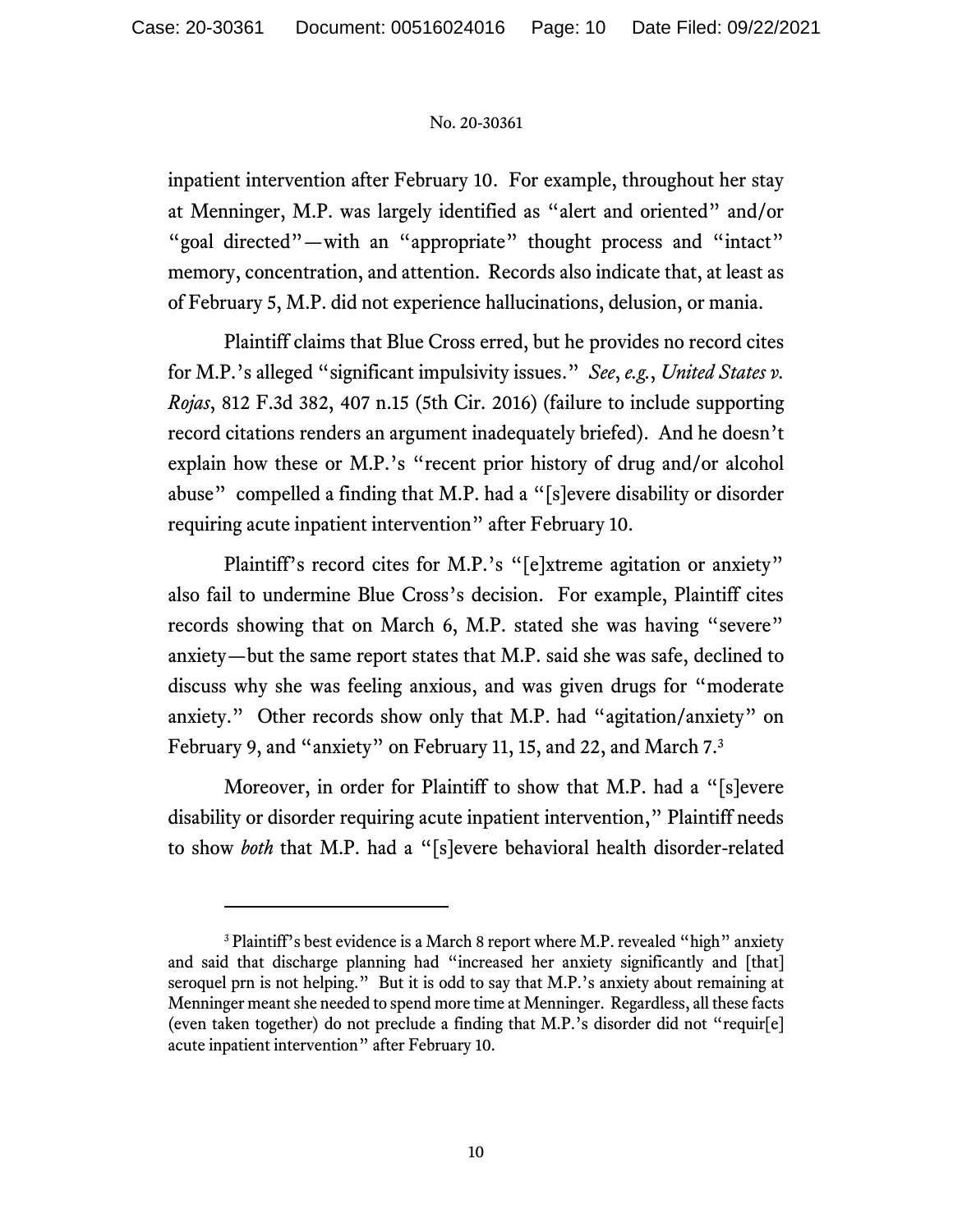inpatient intervention after February 10. For example, throughout her stay at Menninger, M.P. was largely identified as "alert and oriented" and/or "goal directed"—with an "appropriate" thought process and "intact" memory, concentration, and attention. Records also indicate that, at least as of February 5, M.P. did not experience hallucinations, delusion, or mania.

Plaintiff claims that Blue Cross erred, but he provides no record cites for M.P.'s alleged "significant impulsivity issues." *See*, *e.g.*, *United States v. Rojas*, 812 F.3d 382, 407 n.15 (5th Cir. 2016) (failure to include supporting record citations renders an argument inadequately briefed). And he doesn't explain how these or M.P.'s "recent prior history of drug and/or alcohol abuse" compelled a finding that M.P. had a "[s]evere disability or disorder requiring acute inpatient intervention" after February 10.

Plaintiff's record cites for M.P.'s "[e]xtreme agitation or anxiety" also fail to undermine Blue Cross's decision. For example, Plaintiff cites records showing that on March 6, M.P. stated she was having "severe" anxiety—but the same report states that M.P. said she was safe, declined to discuss why she was feeling anxious, and was given drugs for "moderate anxiety." Other records show only that M.P. had "agitation/anxiety" on February 9, and "anxiety" on February 11, 15, and 22, and March 7.<sup>3</sup>

Moreover, in order for Plaintiff to show that M.P. had a "[s]evere disability or disorder requiring acute inpatient intervention," Plaintiff needs to show *both* that M.P. had a "[s]evere behavioral health disorder-related

<sup>&</sup>lt;sup>3</sup> Plaintiff's best evidence is a March 8 report where M.P. revealed "high" anxiety and said that discharge planning had "increased her anxiety significantly and [that] seroquel prn is not helping." But it is odd to say that M.P.'s anxiety about remaining at Menninger meant she needed to spend more time at Menninger. Regardless, all these facts (even taken together) do not preclude a finding that M.P.'s disorder did not "requir[e] acute inpatient intervention" after February 10.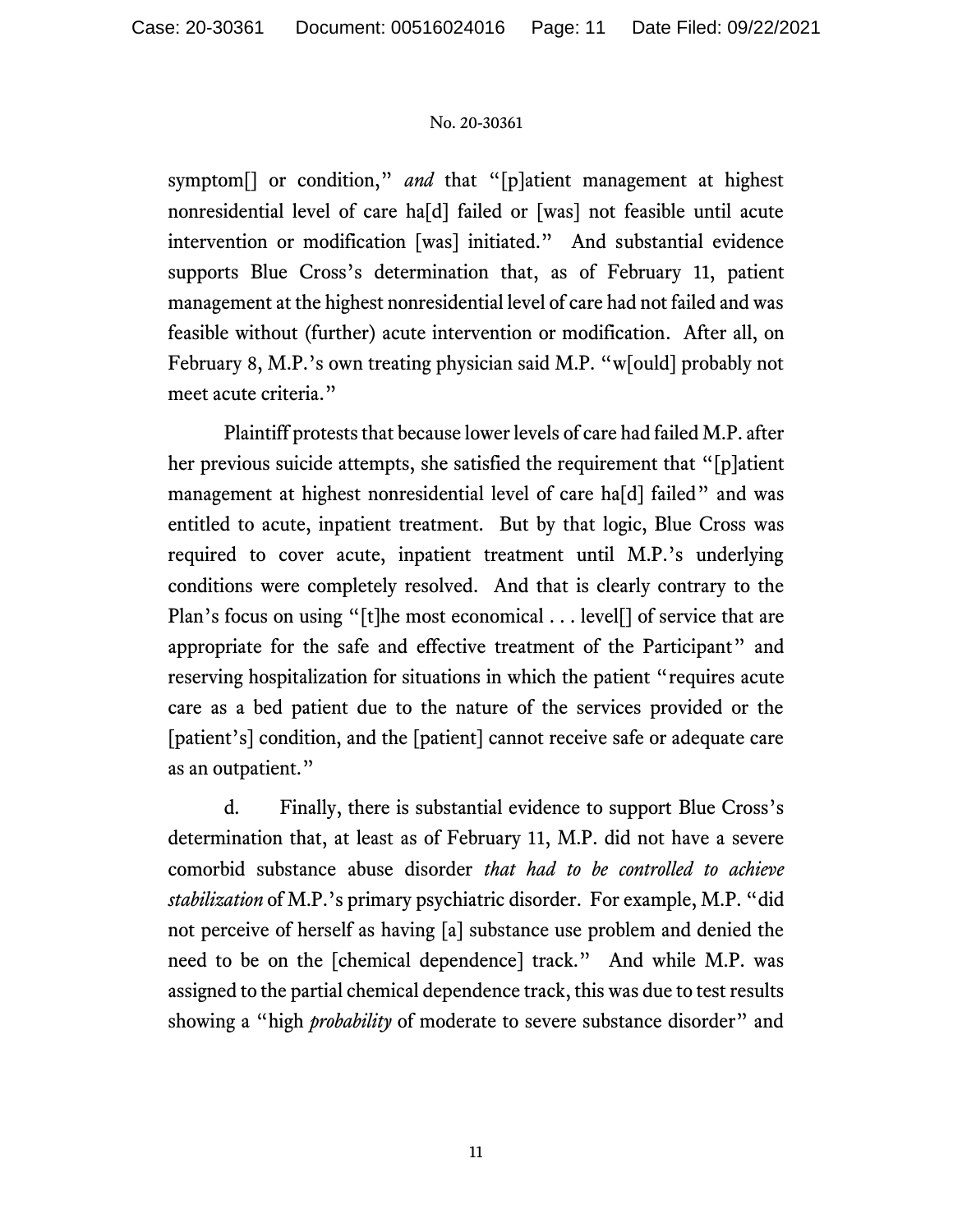symptom[] or condition," *and* that "[p]atient management at highest nonresidential level of care ha[d] failed or [was] not feasible until acute intervention or modification [was] initiated." And substantial evidence supports Blue Cross's determination that, as of February 11, patient management at the highest nonresidential level of care had not failed and was feasible without (further) acute intervention or modification. After all, on February 8, M.P.'s own treating physician said M.P. "w[ould] probably not meet acute criteria."

Plaintiff protests that because lower levels of care had failed M.P. after her previous suicide attempts, she satisfied the requirement that "[p]atient management at highest nonresidential level of care ha[d] failed" and was entitled to acute, inpatient treatment. But by that logic, Blue Cross was required to cover acute, inpatient treatment until M.P.'s underlying conditions were completely resolved. And that is clearly contrary to the Plan's focus on using "[t]he most economical . . . level<sup>[]</sup> of service that are appropriate for the safe and effective treatment of the Participant" and reserving hospitalization for situations in which the patient "requires acute care as a bed patient due to the nature of the services provided or the [patient's] condition, and the [patient] cannot receive safe or adequate care as an outpatient."

d. Finally, there is substantial evidence to support Blue Cross's determination that, at least as of February 11, M.P. did not have a severe comorbid substance abuse disorder *that had to be controlled to achieve stabilization* of M.P.'s primary psychiatric disorder. For example, M.P. "did not perceive of herself as having [a] substance use problem and denied the need to be on the [chemical dependence] track." And while M.P. was assigned to the partial chemical dependence track, this was due to test results showing a "high *probability* of moderate to severe substance disorder" and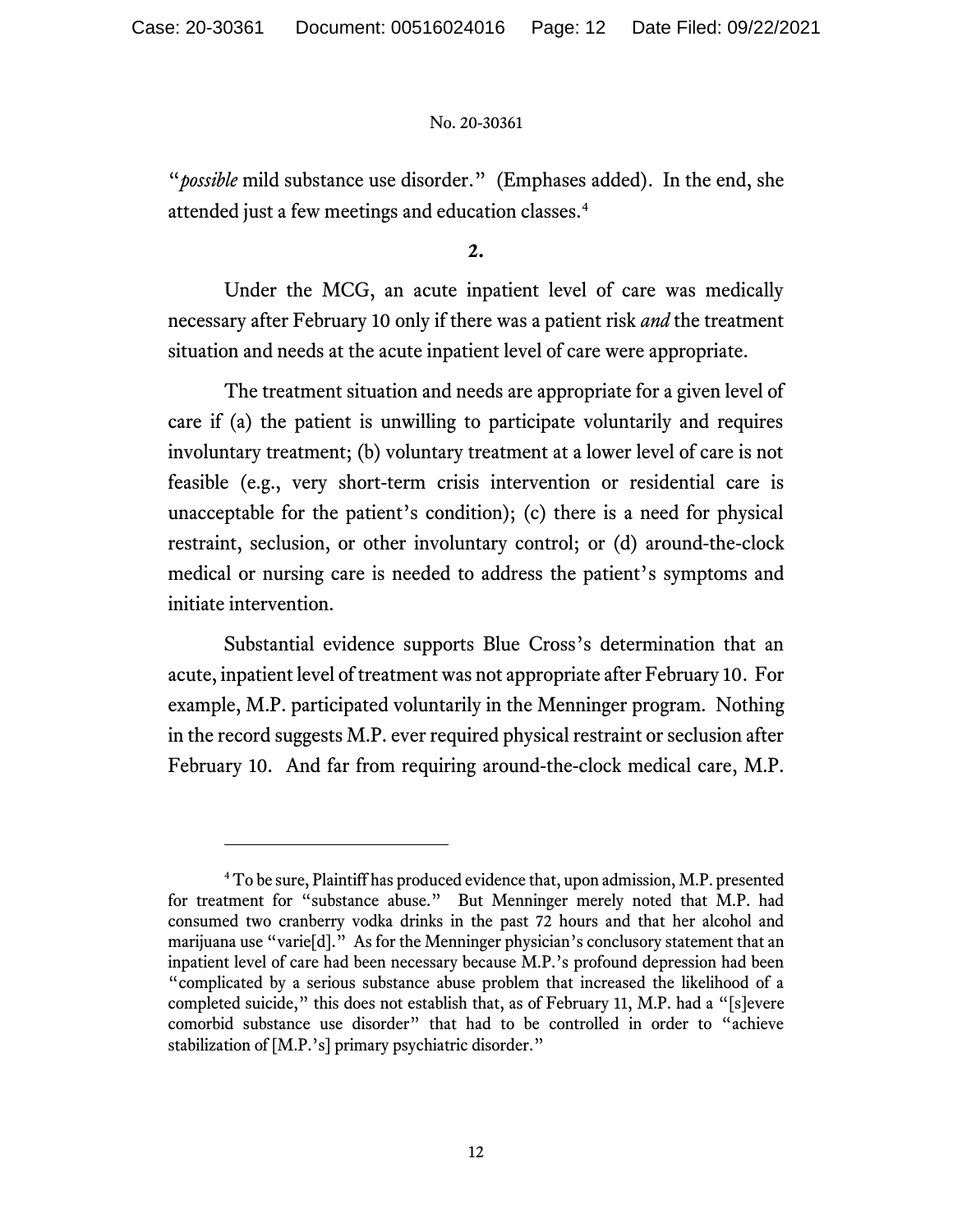"*possible* mild substance use disorder." (Emphases added). In the end, she attended just a few meetings and education classes.<sup>4</sup>

**2.**

Under the MCG, an acute inpatient level of care was medically necessary after February 10 only if there was a patient risk *and* the treatment situation and needs at the acute inpatient level of care were appropriate.

The treatment situation and needs are appropriate for a given level of care if (a) the patient is unwilling to participate voluntarily and requires involuntary treatment; (b) voluntary treatment at a lower level of care is not feasible (e.g., very short-term crisis intervention or residential care is unacceptable for the patient's condition); (c) there is a need for physical restraint, seclusion, or other involuntary control; or (d) around-the-clock medical or nursing care is needed to address the patient's symptoms and initiate intervention.

Substantial evidence supports Blue Cross's determination that an acute, inpatient level of treatment was not appropriate after February 10. For example, M.P. participated voluntarily in the Menninger program. Nothing in the record suggests M.P. ever required physical restraint or seclusion after February 10. And far from requiring around-the-clock medical care, M.P.

<sup>4</sup> To be sure, Plaintiff has produced evidence that, upon admission, M.P. presented for treatment for "substance abuse." But Menninger merely noted that M.P. had consumed two cranberry vodka drinks in the past 72 hours and that her alcohol and marijuana use "varie<sup>[d]</sup>." As for the Menninger physician's conclusory statement that an inpatient level of care had been necessary because M.P.'s profound depression had been "complicated by a serious substance abuse problem that increased the likelihood of a completed suicide," this does not establish that, as of February 11, M.P. had a "[s]evere comorbid substance use disorder" that had to be controlled in order to "achieve stabilization of [M.P.'s] primary psychiatric disorder."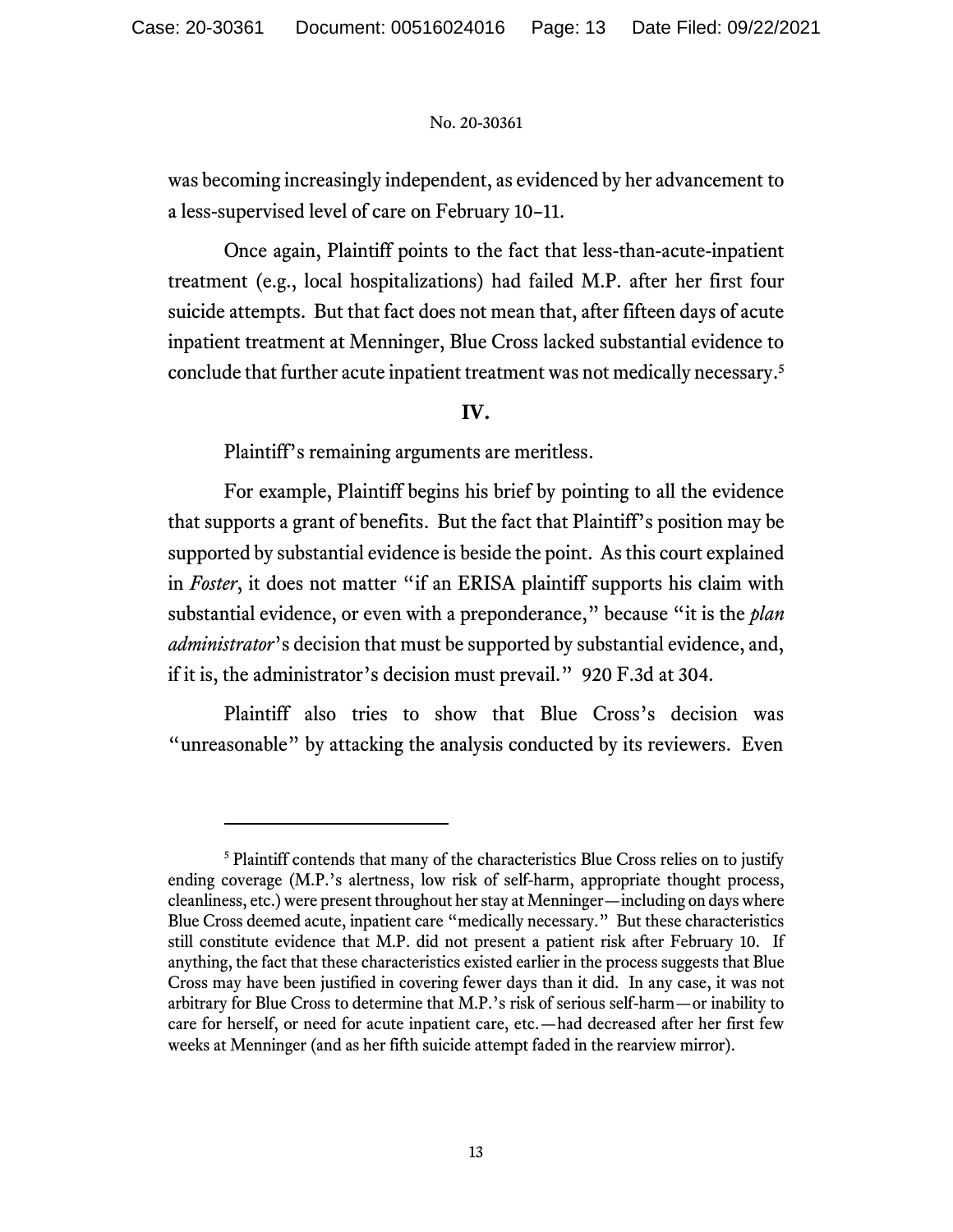was becoming increasingly independent, as evidenced by her advancement to a less-supervised level of care on February 10–11.

Once again, Plaintiff points to the fact that less-than-acute-inpatient treatment (e.g., local hospitalizations) had failed M.P. after her first four suicide attempts. But that fact does not mean that, after fifteen days of acute inpatient treatment at Menninger, Blue Cross lacked substantial evidence to conclude that further acute inpatient treatment was not medically necessary. 5

# **IV.**

Plaintiff's remaining arguments are meritless.

For example, Plaintiff begins his brief by pointing to all the evidence that supports a grant of benefits. But the fact that Plaintiff's position may be supported by substantial evidence is beside the point. As this court explained in *Foster*, it does not matter "if an ERISA plaintiff supports his claim with substantial evidence, or even with a preponderance," because "it is the *plan administrator*'s decision that must be supported by substantial evidence, and, if it is, the administrator's decision must prevail." 920 F.3d at 304.

Plaintiff also tries to show that Blue Cross's decision was "unreasonable" by attacking the analysis conducted by its reviewers. Even

<sup>&</sup>lt;sup>5</sup> Plaintiff contends that many of the characteristics Blue Cross relies on to justify ending coverage (M.P.'s alertness, low risk of self-harm, appropriate thought process, cleanliness, etc.) were present throughout her stay at Menninger—including on days where Blue Cross deemed acute, inpatient care "medically necessary." But these characteristics still constitute evidence that M.P. did not present a patient risk after February 10. If anything, the fact that these characteristics existed earlier in the process suggests that Blue Cross may have been justified in covering fewer days than it did. In any case, it was not arbitrary for Blue Cross to determine that M.P.'s risk of serious self-harm—or inability to care for herself, or need for acute inpatient care, etc.—had decreased after her first few weeks at Menninger (and as her fifth suicide attempt faded in the rearview mirror).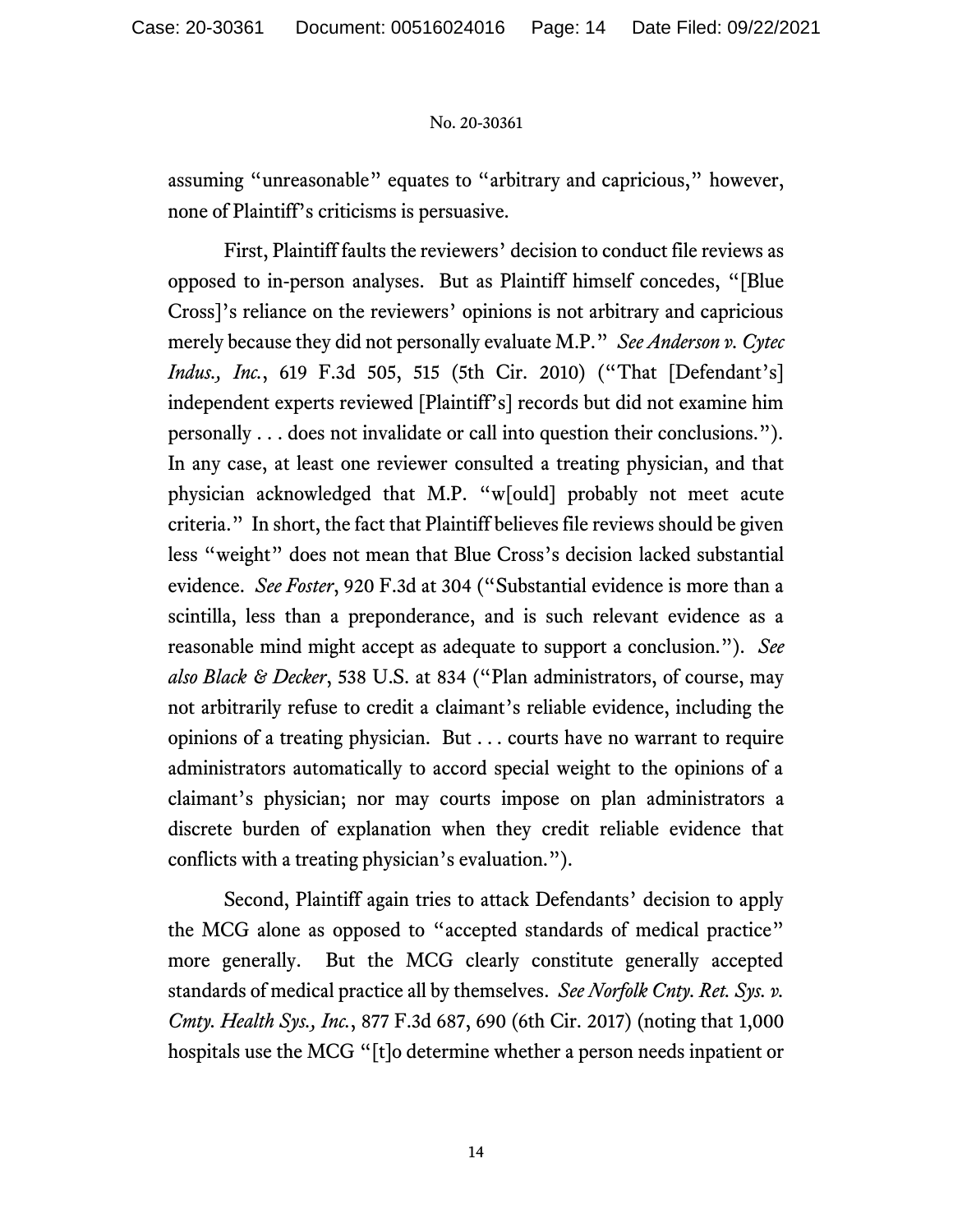assuming "unreasonable" equates to "arbitrary and capricious," however, none of Plaintiff's criticisms is persuasive.

First, Plaintiff faults the reviewers' decision to conduct file reviews as opposed to in-person analyses. But as Plaintiff himself concedes, "[Blue Cross]'s reliance on the reviewers' opinions is not arbitrary and capricious merely because they did not personally evaluate M.P." *See Anderson v. Cytec Indus., Inc.*, 619 F.3d 505, 515 (5th Cir. 2010) ("That [Defendant's] independent experts reviewed [Plaintiff's] records but did not examine him personally . . . does not invalidate or call into question their conclusions."). In any case, at least one reviewer consulted a treating physician, and that physician acknowledged that M.P. "w[ould] probably not meet acute criteria." In short, the fact that Plaintiff believes file reviews should be given less "weight" does not mean that Blue Cross's decision lacked substantial evidence. *See Foster*, 920 F.3d at 304 ("Substantial evidence is more than a scintilla, less than a preponderance, and is such relevant evidence as a reasonable mind might accept as adequate to support a conclusion."). *See also Black & Decker*, 538 U.S. at 834 ("Plan administrators, of course, may not arbitrarily refuse to credit a claimant's reliable evidence, including the opinions of a treating physician. But . . . courts have no warrant to require administrators automatically to accord special weight to the opinions of a claimant's physician; nor may courts impose on plan administrators a discrete burden of explanation when they credit reliable evidence that conflicts with a treating physician's evaluation.").

Second, Plaintiff again tries to attack Defendants' decision to apply the MCG alone as opposed to "accepted standards of medical practice" more generally. But the MCG clearly constitute generally accepted standards of medical practice all by themselves. *See Norfolk Cnty. Ret. Sys. v. Cmty. Health Sys., Inc.*, 877 F.3d 687, 690 (6th Cir. 2017) (noting that 1,000 hospitals use the MCG "[t]o determine whether a person needs inpatient or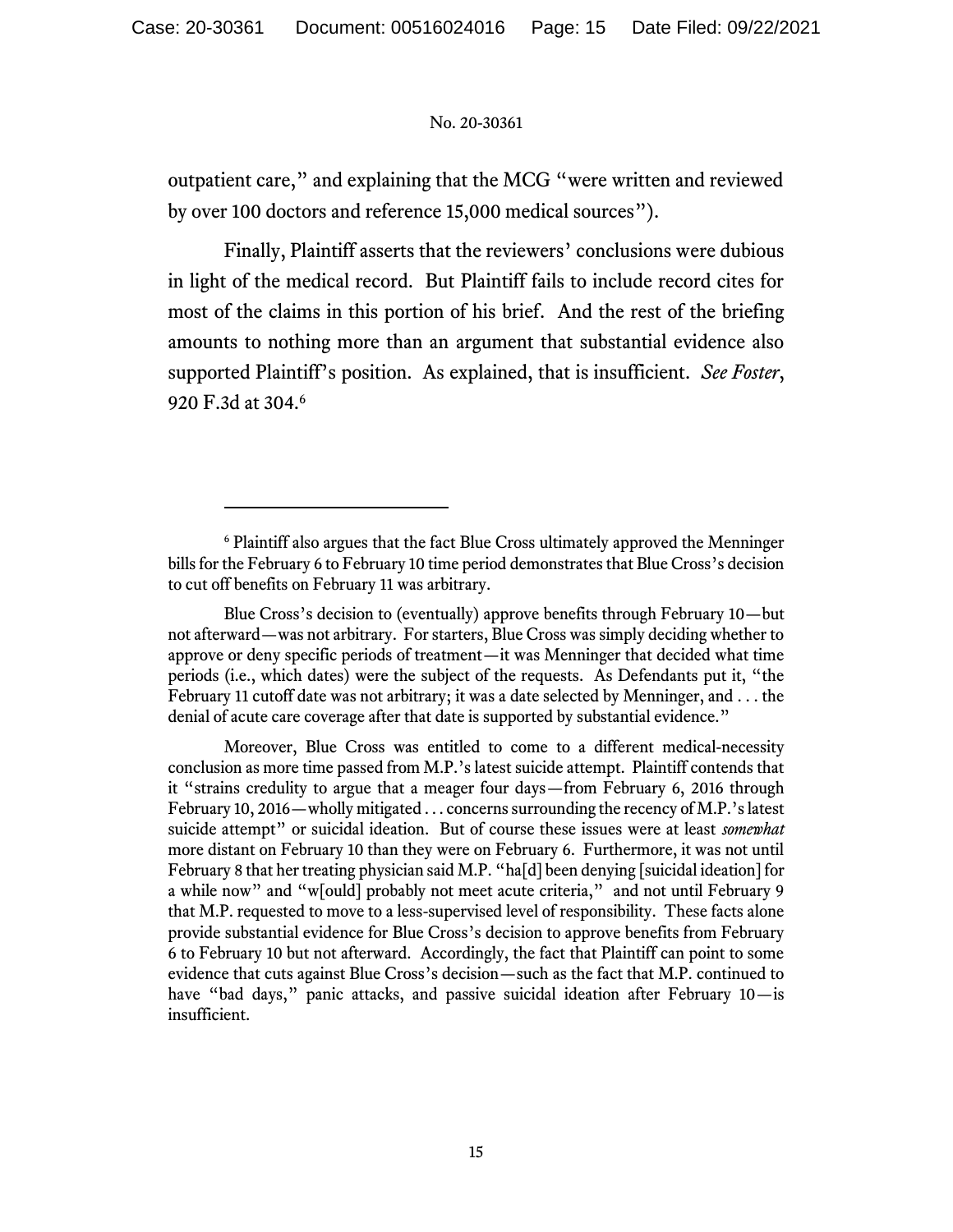outpatient care," and explaining that the MCG "were written and reviewed by over 100 doctors and reference 15,000 medical sources").

Finally, Plaintiff asserts that the reviewers' conclusions were dubious in light of the medical record. But Plaintiff fails to include record cites for most of the claims in this portion of his brief. And the rest of the briefing amounts to nothing more than an argument that substantial evidence also supported Plaintiff's position. As explained, that is insufficient. *See Foster*, 920 F.3d at 304.<sup>6</sup>

<sup>6</sup> Plaintiff also argues that the fact Blue Cross ultimately approved the Menninger bills for the February 6 to February 10 time period demonstrates that Blue Cross's decision to cut off benefits on February 11 was arbitrary.

Blue Cross's decision to (eventually) approve benefits through February 10—but not afterward—was not arbitrary. For starters, Blue Cross was simply deciding whether to approve or deny specific periods of treatment—it was Menninger that decided what time periods (i.e., which dates) were the subject of the requests. As Defendants put it, "the February 11 cutoff date was not arbitrary; it was a date selected by Menninger, and  $\dots$  the denial of acute care coverage after that date is supported by substantial evidence."

Moreover, Blue Cross was entitled to come to a different medical-necessity conclusion as more time passed from M.P.'s latest suicide attempt. Plaintiff contends that it "strains credulity to argue that a meager four days—from February 6, 2016 through February 10, 2016—wholly mitigated . . . concerns surrounding the recency of M.P.'s latest suicide attempt" or suicidal ideation. But of course these issues were at least *somewhat* more distant on February 10 than they were on February 6. Furthermore, it was not until February 8 that her treating physician said M.P. "ha[d] been denying [suicidal ideation] for a while now" and "w[ould] probably not meet acute criteria," and not until February 9 that M.P. requested to move to a less-supervised level of responsibility. These facts alone provide substantial evidence for Blue Cross's decision to approve benefits from February 6 to February 10 but not afterward. Accordingly, the fact that Plaintiff can point to some evidence that cuts against Blue Cross's decision—such as the fact that M.P. continued to have "bad days," panic attacks, and passive suicidal ideation after February 10-is insufficient.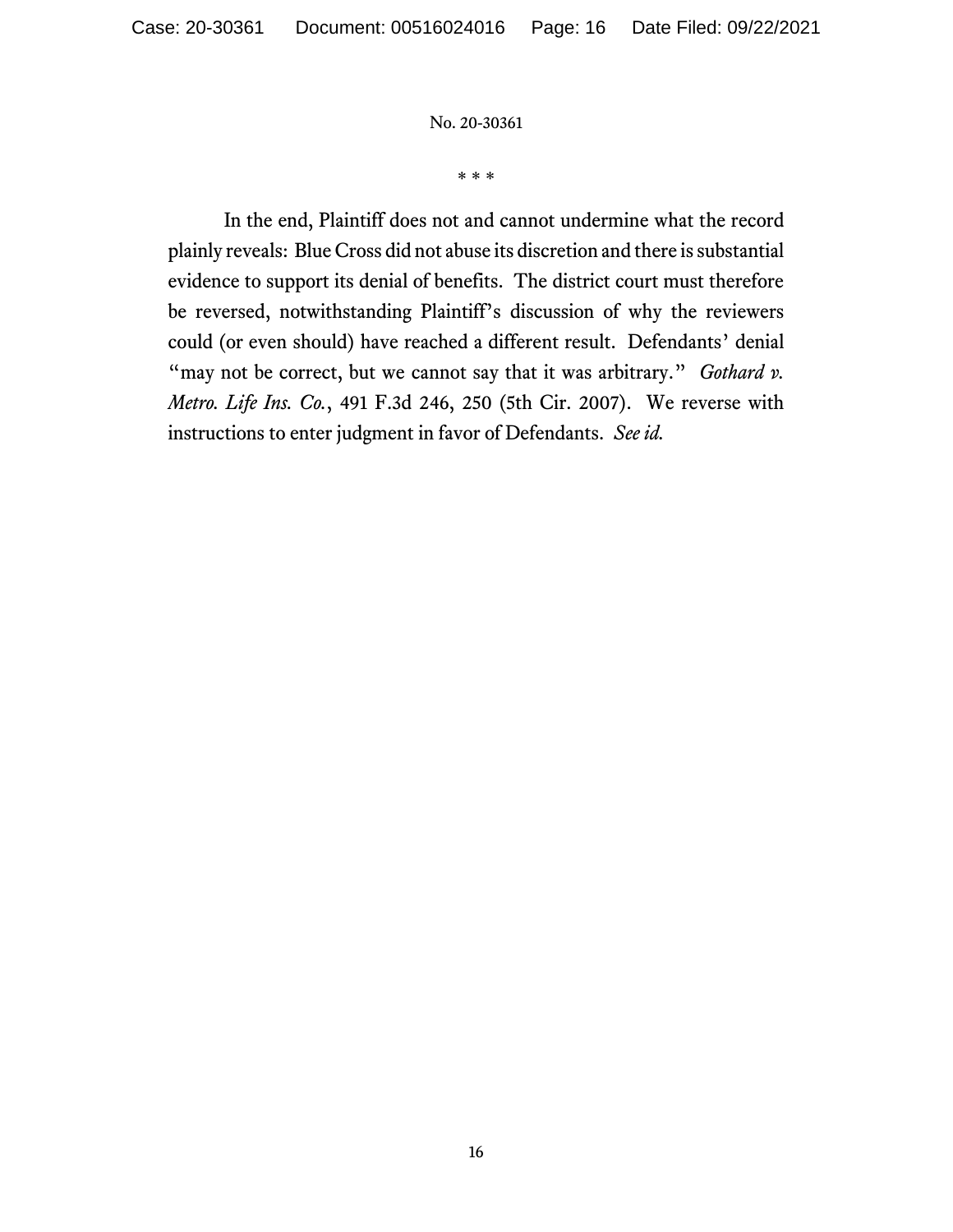\* \* \*

In the end, Plaintiff does not and cannot undermine what the record plainly reveals: Blue Cross did not abuse its discretion and there is substantial evidence to support its denial of benefits. The district court must therefore be reversed, notwithstanding Plaintiff's discussion of why the reviewers could (or even should) have reached a different result. Defendants' denial "may not be correct, but we cannot say that it was arbitrary." *Gothard v*. *Metro. Life Ins. Co.*, 491 F.3d 246, 250 (5th Cir. 2007). We reverse with instructions to enter judgment in favor of Defendants. *See id.*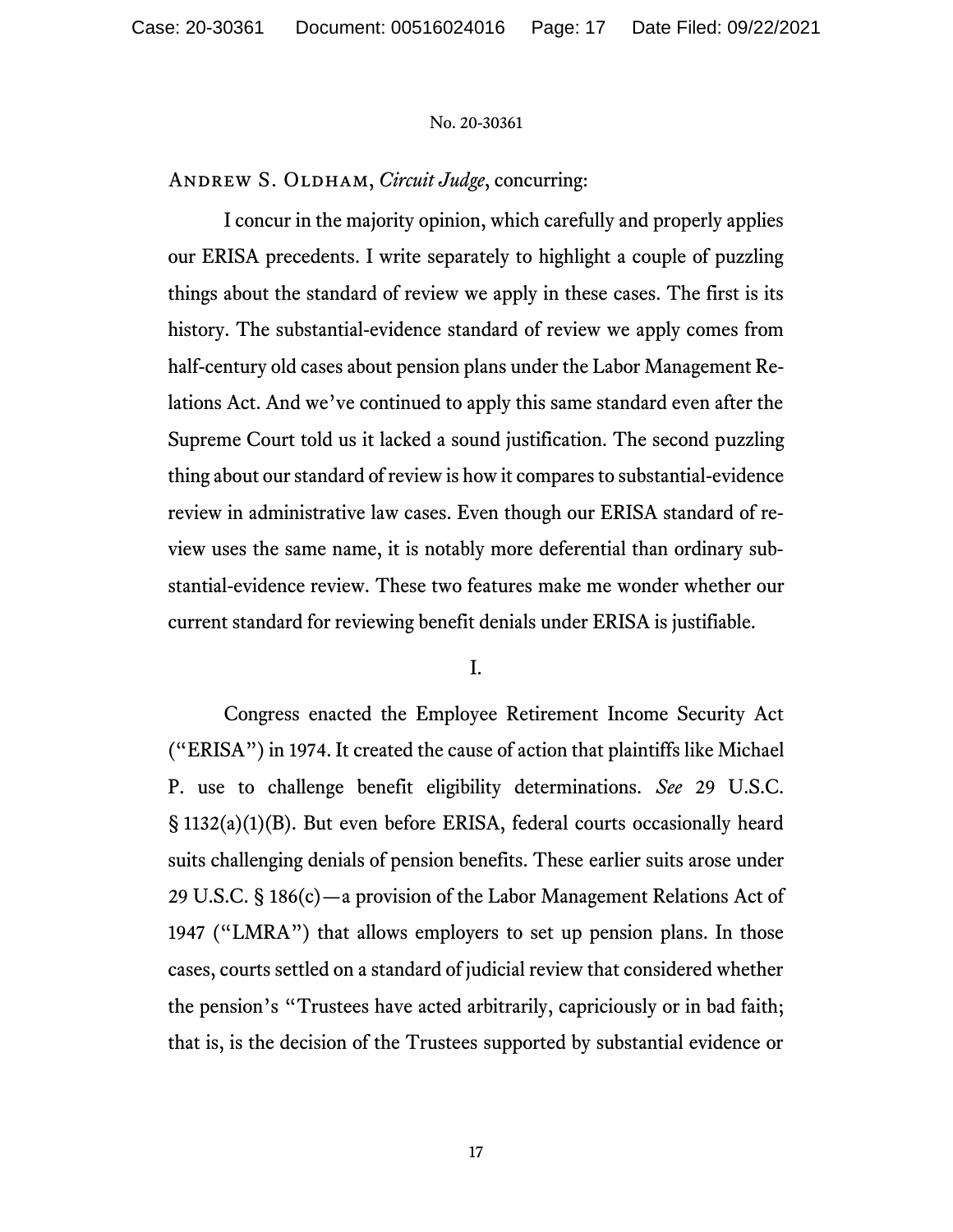ANDREW S. OLDHAM, *Circuit Judge*, concurring:

I concur in the majority opinion, which carefully and properly applies our ERISA precedents. I write separately to highlight a couple of puzzling things about the standard of review we apply in these cases. The first is its history. The substantial-evidence standard of review we apply comes from half-century old cases about pension plans under the Labor Management Relations Act. And we've continued to apply this same standard even after the Supreme Court told us it lacked a sound justification. The second puzzling thing about our standard of review is how it compares to substantial-evidence review in administrative law cases. Even though our ERISA standard of review uses the same name, it is notably more deferential than ordinary substantial-evidence review. These two features make me wonder whether our current standard for reviewing benefit denials under ERISA is justifiable.

I.

Congress enacted the Employee Retirement Income Security Act ("ERISA") in 1974. It created the cause of action that plaintiffs like Michael P. use to challenge benefit eligibility determinations. *See* 29 U.S.C. § 1132(a)(1)(B). But even before ERISA, federal courts occasionally heard suits challenging denials of pension benefits. These earlier suits arose under 29 U.S.C. § 186(c)—a provision of the Labor Management Relations Act of 1947 ("LMRA") that allows employers to set up pension plans. In those cases, courts settled on a standard of judicial review that considered whether the pension's "Trustees have acted arbitrarily, capriciously or in bad faith; that is, is the decision of the Trustees supported by substantial evidence or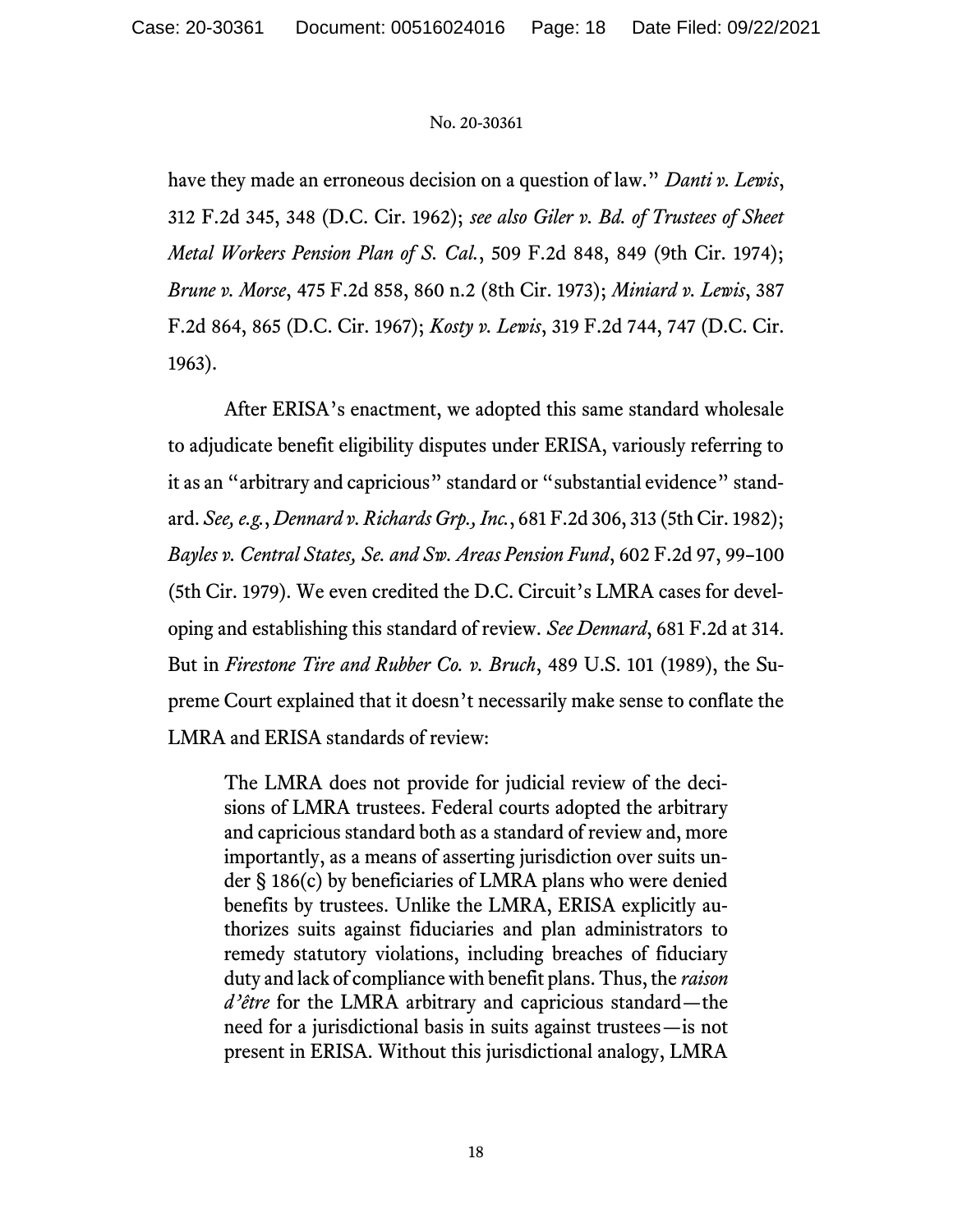have they made an erroneous decision on a question of law." *Danti v. Lewis*, 312 F.2d 345, 348 (D.C. Cir. 1962); *see also Giler v. Bd. of Trustees of Sheet Metal Workers Pension Plan of S. Cal.*, 509 F.2d 848, 849 (9th Cir. 1974); *Brune v. Morse*, 475 F.2d 858, 860 n.2 (8th Cir. 1973); *Miniard v. Lewis*, 387 F.2d 864, 865 (D.C. Cir. 1967); *Kosty v. Lewis*, 319 F.2d 744, 747 (D.C. Cir. 1963).

After ERISA's enactment, we adopted this same standard wholesale to adjudicate benefit eligibility disputes under ERISA, variously referring to it as an "arbitrary and capricious" standard or "substantial evidence" standard. *See, e.g.*, *Dennard v. Richards Grp., Inc.*, 681 F.2d 306, 313 (5th Cir. 1982); *Bayles v. Central States, Se. and Sw. Areas Pension Fund*, 602 F.2d 97, 99–100 (5th Cir. 1979). We even credited the D.C. Circuit's LMRA cases for developing and establishing this standard of review. *See Dennard*, 681 F.2d at 314. But in *Firestone Tire and Rubber Co. v. Bruch*, 489 U.S. 101 (1989), the Supreme Court explained that it doesn't necessarily make sense to conflate the LMRA and ERISA standards of review:

The LMRA does not provide for judicial review of the decisions of LMRA trustees. Federal courts adopted the arbitrary and capricious standard both as a standard of review and, more importantly, as a means of asserting jurisdiction over suits under § 186(c) by beneficiaries of LMRA plans who were denied benefits by trustees. Unlike the LMRA, ERISA explicitly authorizes suits against fiduciaries and plan administrators to remedy statutory violations, including breaches of fiduciary duty and lack of compliance with benefit plans. Thus, the *raison d'être* for the LMRA arbitrary and capricious standard—the need for a jurisdictional basis in suits against trustees—is not present in ERISA. Without this jurisdictional analogy, LMRA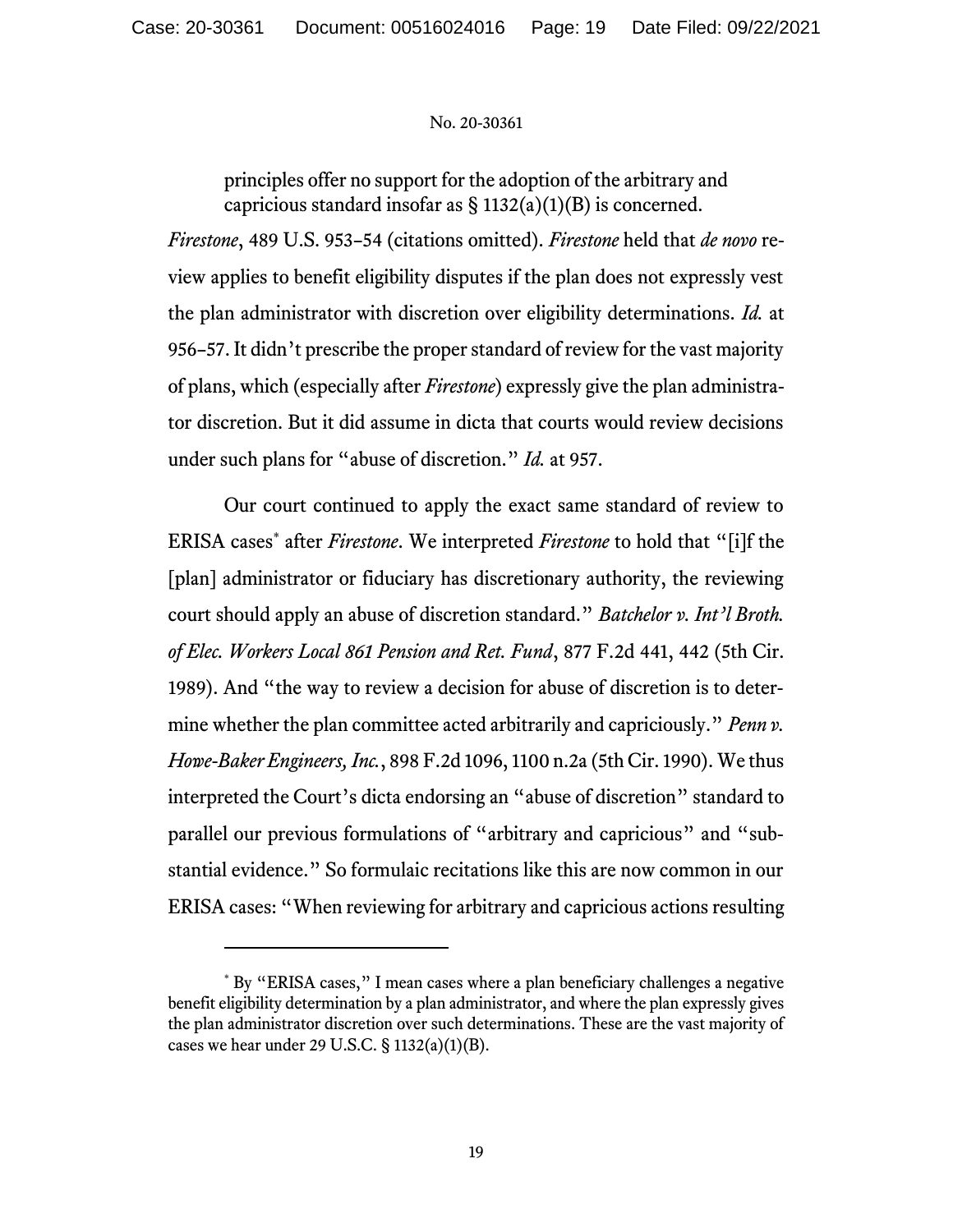principles offer no support for the adoption of the arbitrary and capricious standard insofar as  $\S 1132(a)(1)(B)$  is concerned.

*Firestone*, 489 U.S. 953–54 (citations omitted). *Firestone* held that *de novo* review applies to benefit eligibility disputes if the plan does not expressly vest the plan administrator with discretion over eligibility determinations. *Id.* at 956–57. It didn't prescribe the proper standard of review for the vast majority of plans, which (especially after *Firestone*) expressly give the plan administrator discretion. But it did assume in dicta that courts would review decisions under such plans for "abuse of discretion." *Id.* at 957.

Our court continued to apply the exact same standard of review to ERISA cases\* after *Firestone*. We interpreted *Firestone* to hold that "[i]f the [plan] administrator or fiduciary has discretionary authority, the reviewing court should apply an abuse of discretion standard." *Batchelor v. Int'l Broth. of Elec. Workers Local 861 Pension and Ret. Fund*, 877 F.2d 441, 442 (5th Cir. 1989). And "the way to review a decision for abuse of discretion is to determine whether the plan committee acted arbitrarily and capriciously." *Penn v. Howe-Baker Engineers, Inc.*, 898 F.2d 1096, 1100 n.2a (5th Cir. 1990). We thus interpreted the Court's dicta endorsing an "abuse of discretion" standard to parallel our previous formulations of "arbitrary and capricious" and "substantial evidence." So formulaic recitations like this are now common in our ERISA cases: "When reviewing for arbitrary and capricious actions resulting

<sup>\*</sup> By "ERISA cases," I mean cases where a plan beneficiary challenges a negative benefit eligibility determination by a plan administrator, and where the plan expressly gives the plan administrator discretion over such determinations. These are the vast majority of cases we hear under 29 U.S.C.  $\S$  1132(a)(1)(B).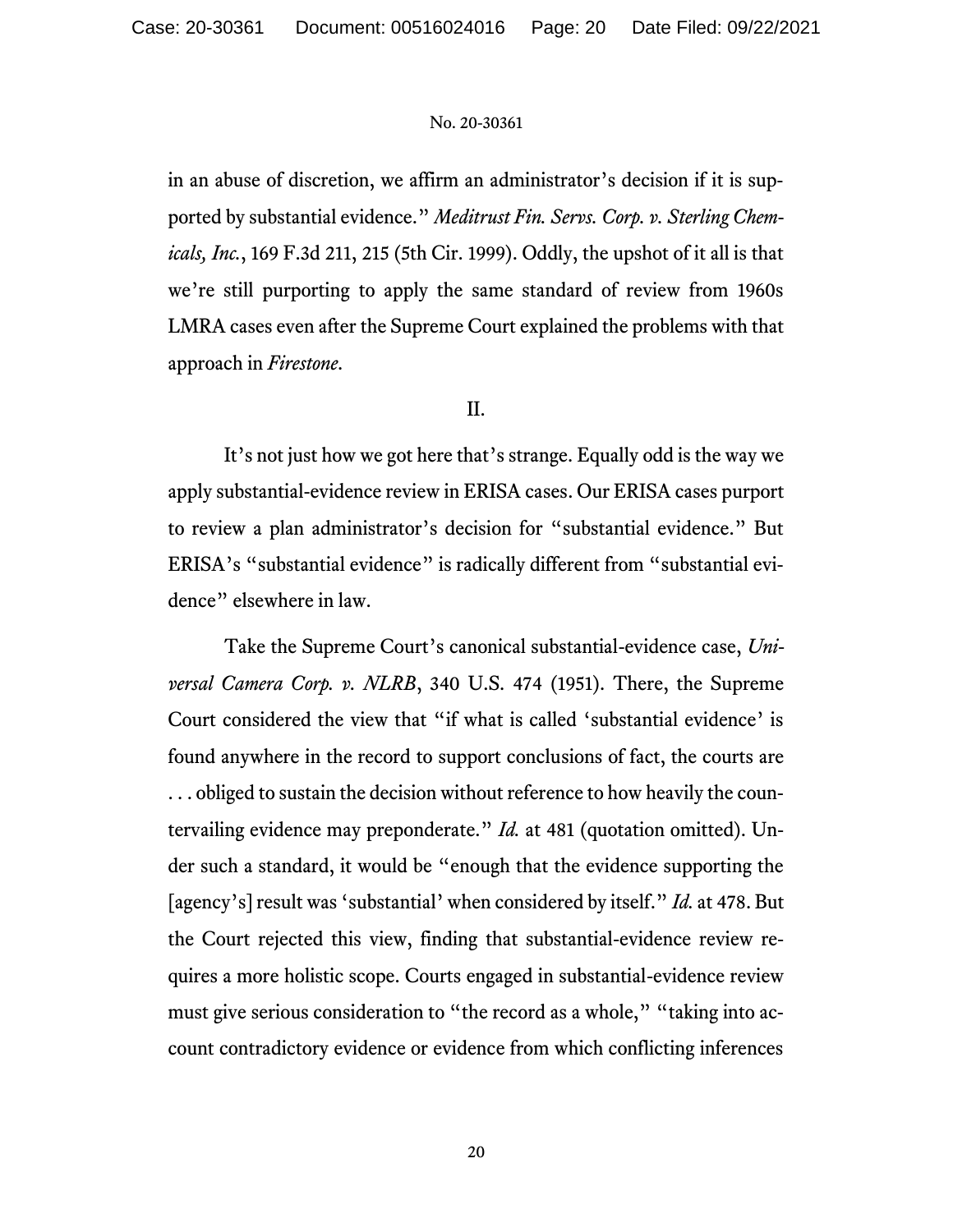in an abuse of discretion, we affirm an administrator's decision if it is supported by substantial evidence." *Meditrust Fin. Servs. Corp. v. Sterling Chemicals, Inc.*, 169 F.3d 211, 215 (5th Cir. 1999). Oddly, the upshot of it all is that we're still purporting to apply the same standard of review from 1960s LMRA cases even after the Supreme Court explained the problems with that approach in *Firestone*.

## II.

It's not just how we got here that's strange. Equally odd is the way we apply substantial-evidence review in ERISA cases. Our ERISA cases purport to review a plan administrator's decision for "substantial evidence." But ERISA's "substantial evidence" is radically different from "substantial evidence" elsewhere in law.

Take the Supreme Court's canonical substantial-evidence case, *Universal Camera Corp. v. NLRB*, 340 U.S. 474 (1951). There, the Supreme Court considered the view that "if what is called 'substantial evidence' is found anywhere in the record to support conclusions of fact, the courts are . . . obliged to sustain the decision without reference to how heavily the countervailing evidence may preponderate." *Id.* at 481 (quotation omitted). Under such a standard, it would be "enough that the evidence supporting the [agency's] result was 'substantial' when considered by itself." *Id.* at 478. But the Court rejected this view, finding that substantial-evidence review requires a more holistic scope. Courts engaged in substantial-evidence review must give serious consideration to "the record as a whole," "taking into account contradictory evidence or evidence from which conflicting inferences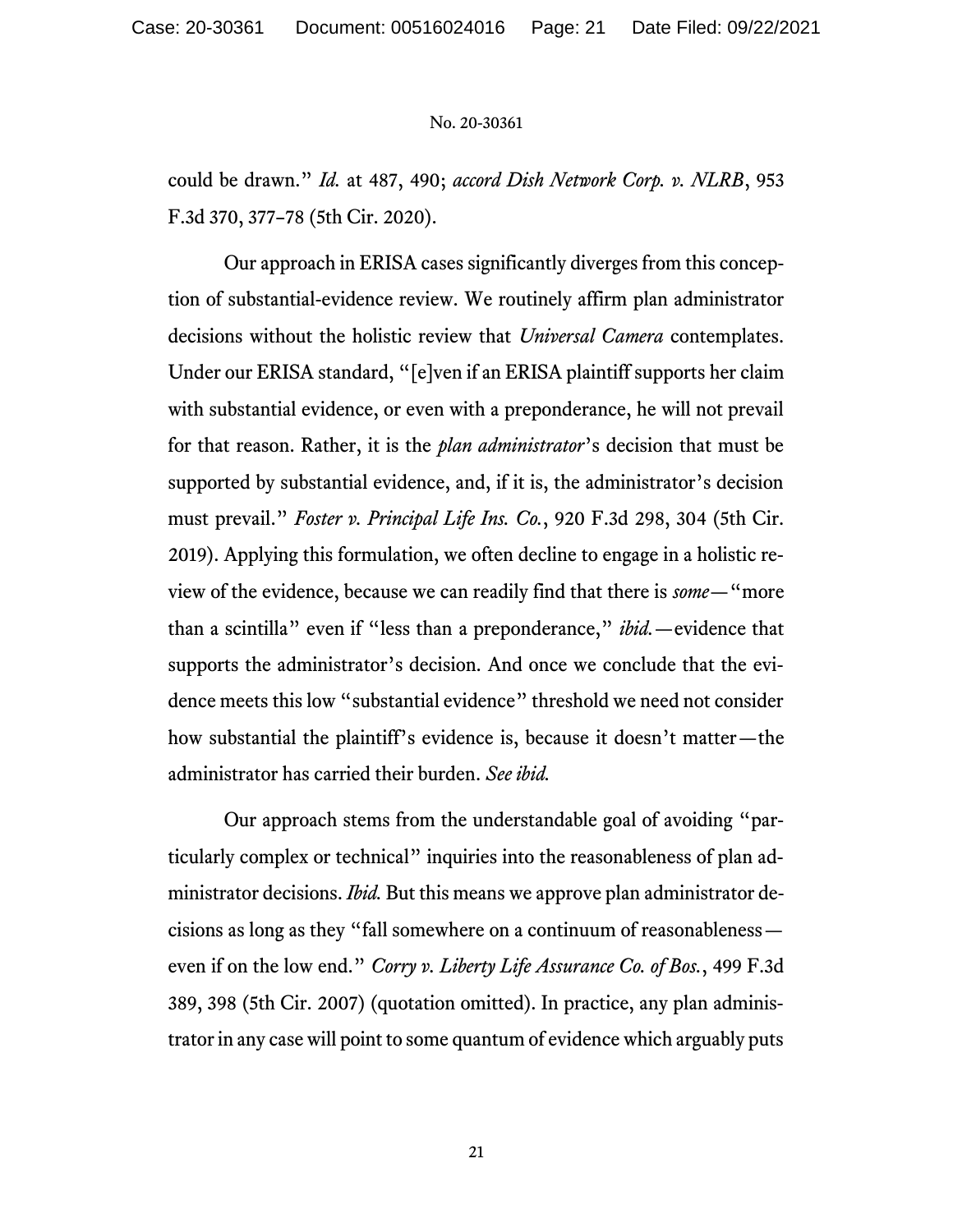could be drawn." *Id.* at 487, 490; *accord Dish Network Corp. v. NLRB*, 953 F.3d 370, 377–78 (5th Cir. 2020).

Our approach in ERISA cases significantly diverges from this conception of substantial-evidence review. We routinely affirm plan administrator decisions without the holistic review that *Universal Camera* contemplates. Under our ERISA standard, "[e]ven if an ERISA plaintiff supports her claim with substantial evidence, or even with a preponderance, he will not prevail for that reason. Rather, it is the *plan administrator*'s decision that must be supported by substantial evidence, and, if it is, the administrator's decision must prevail." *Foster v. Principal Life Ins. Co.*, 920 F.3d 298, 304 (5th Cir. 2019). Applying this formulation, we often decline to engage in a holistic review of the evidence, because we can readily find that there is *some*—"more than a scintilla" even if "less than a preponderance," *ibid.*—evidence that supports the administrator's decision. And once we conclude that the evidence meets this low "substantial evidence" threshold we need not consider how substantial the plaintiff's evidence is, because it doesn't matter—the administrator has carried their burden. *See ibid.*

Our approach stems from the understandable goal of avoiding "particularly complex or technical" inquiries into the reasonableness of plan administrator decisions. *Ibid.* But this means we approve plan administrator decisions as long as they "fall somewhere on a continuum of reasonableness even if on the low end." *Corry v. Liberty Life Assurance Co. of Bos.*, 499 F.3d 389, 398 (5th Cir. 2007) (quotation omitted). In practice, any plan administrator in any case will point to some quantum of evidence which arguably puts